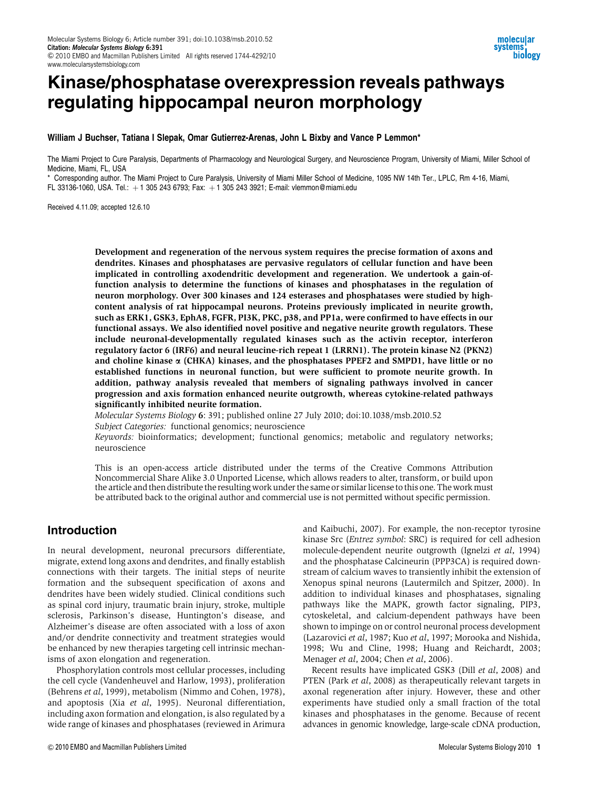# Kinase/phosphatase overexpression reveals pathways regulating hippocampal neuron morphology

### William J Buchser, Tatiana I Slepak, Omar Gutierrez-Arenas, John L Bixby and Vance P Lemmon\*

The Miami Project to Cure Paralysis, Departments of Pharmacology and Neurological Surgery, and Neuroscience Program, University of Miami, Miller School of Medicine, Miami, FL, USA

\* Corresponding author. The Miami Project to Cure Paralysis, University of Miami Miller School of Medicine, 1095 NW 14th Ter., LPLC, Rm 4-16, Miami, FL 33136-1060, USA. Tel.: +1 305 243 6793; Fax: +1 305 243 3921; E-mail: [vlemmon@miami.edu](mailto:vlemmon@miami.edu)

Received 4.11.09; accepted 12.6.10

Development and regeneration of the nervous system requires the precise formation of axons and dendrites. Kinases and phosphatases are pervasive regulators of cellular function and have been implicated in controlling axodendritic development and regeneration. We undertook a gain-offunction analysis to determine the functions of kinases and phosphatases in the regulation of neuron morphology. Over 300 kinases and 124 esterases and phosphatases were studied by highcontent analysis of rat hippocampal neurons. Proteins previously implicated in neurite growth, such as ERK1, GSK3, EphA8, FGFR, PI3K, PKC, p38, and PP1a, were confirmed to have effects in our functional assays. We also identified novel positive and negative neurite growth regulators. These include neuronal-developmentally regulated kinases such as the activin receptor, interferon regulatory factor 6 (IRF6) and neural leucine-rich repeat 1 (LRRN1). The protein kinase N2 (PKN2) and choline kinase  $\alpha$  (CHKA) kinases, and the phosphatases PPEF2 and SMPD1, have little or no established functions in neuronal function, but were sufficient to promote neurite growth. In addition, pathway analysis revealed that members of signaling pathways involved in cancer progression and axis formation enhanced neurite outgrowth, whereas cytokine-related pathways significantly inhibited neurite formation.

Molecular Systems Biology 6: 391; published online 27 July 2010; doi[:10.1038/msb.2010.52](http://dx.doi.org/10.1038/msb.2010.52)

Subject Categories: functional genomics; neuroscience

Keywords: bioinformatics; development; functional genomics; metabolic and regulatory networks; neuroscience

This is an open-access article distributed under the terms of the Creative Commons Attribution Noncommercial Share Alike 3.0 Unported License, which allows readers to alter, transform, or build upon the article and then distribute the resulting work under the same or similar license to this one. Thework must be attributed back to the original author and commercial use is not permitted without specific permission.

# Introduction

In neural development, neuronal precursors differentiate, migrate, extend long axons and dendrites, and finally establish connections with their targets. The initial steps of neurite formation and the subsequent specification of axons and dendrites have been widely studied. Clinical conditions such as spinal cord injury, traumatic brain injury, stroke, multiple sclerosis, Parkinson's disease, Huntington's disease, and Alzheimer's disease are often associated with a loss of axon and/or dendrite connectivity and treatment strategies would be enhanced by new therapies targeting cell intrinsic mechanisms of axon elongation and regeneration.

Phosphorylation controls most cellular processes, including the cell cycle ([Vandenheuvel and Harlow, 1993](#page-15-0)), proliferation [\(Behrens](#page-13-0) et al, 1999), metabolism [\(Nimmo and Cohen, 1978\)](#page-14-0), and apoptosis (Xia et al[, 1995\)](#page-15-0). Neuronal differentiation, including axon formation and elongation, is also regulated by a wide range of kinases and phosphatases (reviewed in [Arimura](#page-13-0) [and Kaibuchi, 2007](#page-13-0)). For example, the non-receptor tyrosine kinase Src (Entrez symbol: SRC) is required for cell adhesion molecule-dependent neurite outgrowth ([Ignelzi](#page-14-0) et al, 1994) and the phosphatase Calcineurin (PPP3CA) is required downstream of calcium waves to transiently inhibit the extension of Xenopus spinal neurons [\(Lautermilch and Spitzer, 2000\)](#page-14-0). In addition to individual kinases and phosphatases, signaling pathways like the MAPK, growth factor signaling, PIP3, cytoskeletal, and calcium-dependent pathways have been shown to impinge on or control neuronal process development [\(Lazarovici](#page-14-0) et al, 1987; Kuo et al[, 1997; Morooka and Nishida,](#page-14-0) [1998;](#page-14-0) [Wu and Cline, 1998;](#page-15-0) [Huang and Reichardt, 2003](#page-14-0); [Menager](#page-14-0) et al, 2004; Chen et al[, 2006\)](#page-13-0).

Recent results have implicated GSK3 (Dill et al[, 2008\)](#page-13-0) and PTEN (Park et al[, 2008\)](#page-14-0) as therapeutically relevant targets in axonal regeneration after injury. However, these and other experiments have studied only a small fraction of the total kinases and phosphatases in the genome. Because of recent advances in genomic knowledge, large-scale cDNA production,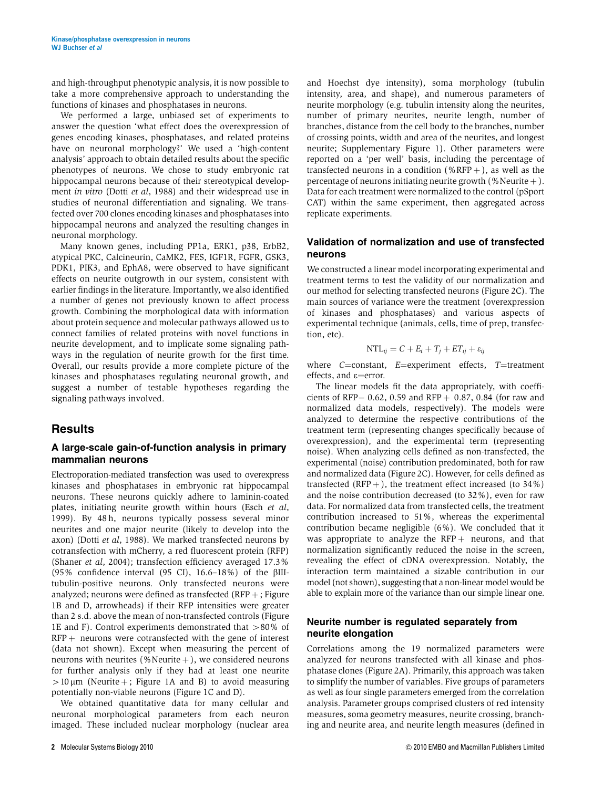and high-throughput phenotypic analysis, it is now possible to take a more comprehensive approach to understanding the functions of kinases and phosphatases in neurons.

We performed a large, unbiased set of experiments to answer the question 'what effect does the overexpression of genes encoding kinases, phosphatases, and related proteins have on neuronal morphology?' We used a 'high-content analysis' approach to obtain detailed results about the specific phenotypes of neurons. We chose to study embryonic rat hippocampal neurons because of their stereotypical development *in vitro* (Dotti *et al.* 1988) and their widespread use in studies of neuronal differentiation and signaling. We transfected over 700 clones encoding kinases and phosphatases into hippocampal neurons and analyzed the resulting changes in neuronal morphology.

Many known genes, including PP1a, ERK1, p38, ErbB2, atypical PKC, Calcineurin, CaMK2, FES, IGF1R, FGFR, GSK3, PDK1, PIK3, and EphA8, were observed to have significant effects on neurite outgrowth in our system, consistent with earlier findings in the literature. Importantly, we also identified a number of genes not previously known to affect process growth. Combining the morphological data with information about protein sequence and molecular pathways allowed us to connect families of related proteins with novel functions in neurite development, and to implicate some signaling pathways in the regulation of neurite growth for the first time. Overall, our results provide a more complete picture of the kinases and phosphatases regulating neuronal growth, and suggest a number of testable hypotheses regarding the signaling pathways involved.

# **Results**

## A large-scale gain-of-function analysis in primary mammalian neurons

Electroporation-mediated transfection was used to overexpress kinases and phosphatases in embryonic rat hippocampal neurons. These neurons quickly adhere to laminin-coated plates, initiating neurite growth within hours [\(Esch](#page-13-0) et al, [1999](#page-13-0)). By 48 h, neurons typically possess several minor neurites and one major neurite (likely to develop into the axon) (Dotti et al[, 1988](#page-13-0)). We marked transfected neurons by cotransfection with mCherry, a red fluorescent protein (RFP) [\(Shaner](#page-15-0) et al, 2004); transfection efficiency averaged 17.3% (95% confidence interval (95 CI),  $16.6-18%$ ) of the  $\beta$ IIItubulin-positive neurons. Only transfected neurons were analyzed; neurons were defined as transfected  $(RFP +$ ; [Figure](#page-2-0) [1B and D,](#page-2-0) arrowheads) if their RFP intensities were greater than 2 s.d. above the mean of non-transfected controls [\(Figure](#page-2-0) [1E and F\)](#page-2-0). Control experiments demonstrated that  $>80\%$  of  $RFP +$  neurons were cotransfected with the gene of interest (data not shown). Except when measuring the percent of neurons with neurites (%Neurite  $+$ ), we considered neurons for further analysis only if they had at least one neurite  $>10 \mu m$  (Neurite +; [Figure 1A and B\)](#page-2-0) to avoid measuring potentially non-viable neurons ([Figure 1C and D\)](#page-2-0).

We obtained quantitative data for many cellular and neuronal morphological parameters from each neuron imaged. These included nuclear morphology (nuclear area

and Hoechst dye intensity), soma morphology (tubulin intensity, area, and shape), and numerous parameters of neurite morphology (e.g. tubulin intensity along the neurites, number of primary neurites, neurite length, number of branches, distance from the cell body to the branches, number of crossing points, width and area of the neurites, and longest neurite; Supplementary Figure 1). Other parameters were reported on a 'per well' basis, including the percentage of transfected neurons in a condition (%RFP +), as well as the percentage of neurons initiating neurite growth (%Neurite  $+$ ). Data for each treatment were normalized to the control (pSport CAT) within the same experiment, then aggregated across replicate experiments.

# Validation of normalization and use of transfected neurons

We constructed a linear model incorporating experimental and treatment terms to test the validity of our normalization and our method for selecting transfected neurons ([Figure 2C\)](#page-2-0). The main sources of variance were the treatment (overexpression of kinases and phosphatases) and various aspects of experimental technique (animals, cells, time of prep, transfection, etc).

$$
NTL_{ij} = C + E_i + T_j + ET_{ij} + \varepsilon_{ij}
$$

where  $C=constant$ ,  $E=experiment$  effects,  $T=treatment$ effects, and  $\varepsilon$ =error.

The linear models fit the data appropriately, with coefficients of RFP $-$  0.62, 0.59 and RFP $+$  0.87, 0.84 (for raw and normalized data models, respectively). The models were analyzed to determine the respective contributions of the treatment term (representing changes specifically because of overexpression), and the experimental term (representing noise). When analyzing cells defined as non-transfected, the experimental (noise) contribution predominated, both for raw and normalized data ([Figure 2C](#page-2-0)). However, for cells defined as transfected (RFP + ), the treatment effect increased (to  $34\%$ ) and the noise contribution decreased (to 32%), even for raw data. For normalized data from transfected cells, the treatment contribution increased to 51%, whereas the experimental contribution became negligible (6%). We concluded that it was appropriate to analyze the  $RFP +$  neurons, and that normalization significantly reduced the noise in the screen, revealing the effect of cDNA overexpression. Notably, the interaction term maintained a sizable contribution in our model (not shown), suggesting that a non-linear model would be able to explain more of the variance than our simple linear one.

## Neurite number is regulated separately from neurite elongation

Correlations among the 19 normalized parameters were analyzed for neurons transfected with all kinase and phosphatase clones [\(Figure 2A\)](#page-2-0). Primarily, this approach was taken to simplify the number of variables. Five groups of parameters as well as four single parameters emerged from the correlation analysis. Parameter groups comprised clusters of red intensity measures, soma geometry measures, neurite crossing, branching and neurite area, and neurite length measures (defined in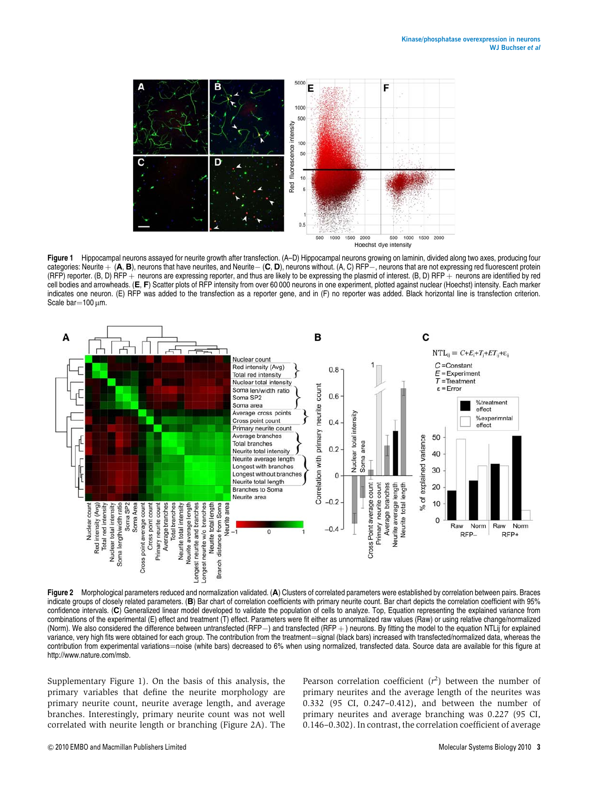<span id="page-2-0"></span>

Figure 1 Hippocampal neurons assayed for neurite growth after transfection. (A-D) Hippocampal neurons growing on laminin, divided along two axes, producing four categories: Neurite  $+$  (A, B), neurons that have neurites, and Neurite $-$  (C, D), neurons without. (A, C) RFP $-$ , neurons that are not expressing red fluorescent protein (RFP) reporter. (B, D) RFP  $+$  neurons are expressing reporter, and thus are likely to be expressing the plasmid of interest. (B, D) RFP  $+$  neurons are identified by red cell bodies and arrowheads. (E, F) Scatter plots of RFP intensity from over 60 000 neurons in one experiment, plotted against nuclear (Hoechst) intensity. Each marker indicates one neuron. (E) RFP was added to the transfection as a reporter gene, and in (F) no reporter was added. Black horizontal line is transfection criterion. Scale  $bar=100$   $µm.$ 



Figure 2 Morphological parameters reduced and normalization validated. (A) Clusters of correlated parameters were established by correlation between pairs. Braces indicate groups of closely related parameters. (B) Bar chart of correlation coefficients with primary neurite count. Bar chart depicts the correlation coefficient with 95% confidence intervals. (C) Generalized linear model developed to validate the population of cells to analyze. Top, Equation representing the explained variance from combinations of the experimental (E) effect and treatment (T) effect. Parameters were fit either as unnormalized raw values (Raw) or using relative change/normalized (Norm). We also considered the difference between untransfected (RFP $-$ ) and transfected (RFP $+$ ) neurons. By fitting the model to the equation NTLij for explained variance, very high fits were obtained for each group. The contribution from the treatment=signal (black bars) increased with transfected/normalized data, whereas the contribution from experimental variations=noise (white bars) decreased to 6% when using normalized, transfected data. Source data are available for this figure at [http://www.nature.com/msb.](http://www.nature.com/msb)

Supplementary Figure 1). On the basis of this analysis, the primary variables that define the neurite morphology are primary neurite count, neurite average length, and average branches. Interestingly, primary neurite count was not well correlated with neurite length or branching (Figure 2A). The

Pearson correlation coefficient  $(r^2)$  between the number of primary neurites and the average length of the neurites was 0.332 (95 CI, 0.247–0.412), and between the number of primary neurites and average branching was 0.227 (95 CI, 0.146–0.302). In contrast, the correlation coefficient of average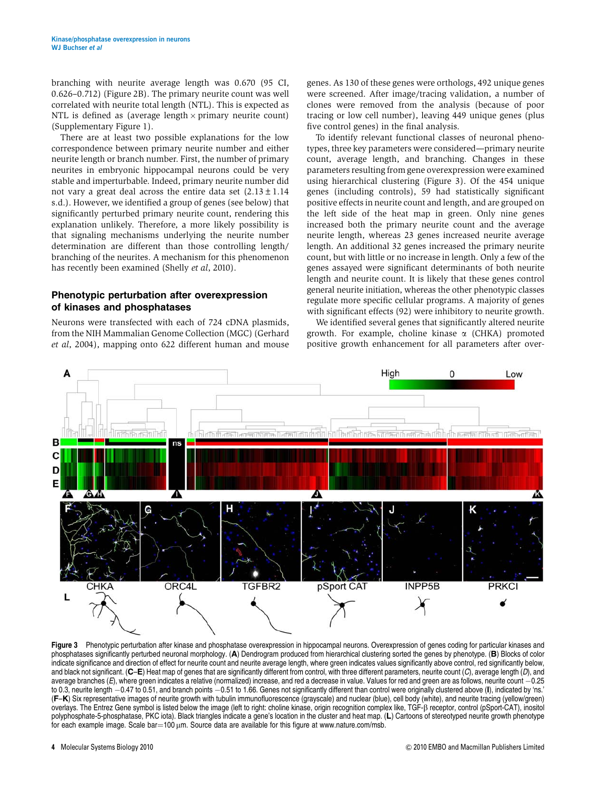<span id="page-3-0"></span>branching with neurite average length was 0.670 (95 CI, 0.626–0.712) [\(Figure 2B](#page-2-0)). The primary neurite count was well correlated with neurite total length (NTL). This is expected as NTL is defined as (average length  $\times$  primary neurite count) (Supplementary Figure 1).

There are at least two possible explanations for the low correspondence between primary neurite number and either neurite length or branch number. First, the number of primary neurites in embryonic hippocampal neurons could be very stable and imperturbable. Indeed, primary neurite number did not vary a great deal across the entire data set  $(2.13 \pm 1.14)$ s.d.). However, we identified a group of genes (see below) that significantly perturbed primary neurite count, rendering this explanation unlikely. Therefore, a more likely possibility is that signaling mechanisms underlying the neurite number determination are different than those controlling length/ branching of the neurites. A mechanism for this phenomenon has recently been examined [\(Shelly](#page-15-0) et al, 2010).

# Phenotypic perturbation after overexpression of kinases and phosphatases

Neurons were transfected with each of 724 cDNA plasmids, from the NIH Mammalian Genome Collection (MGC) [\(Gerhard](#page-13-0) et al[, 2004](#page-13-0)), mapping onto 622 different human and mouse genes. As 130 of these genes were orthologs, 492 unique genes were screened. After image/tracing validation, a number of clones were removed from the analysis (because of poor tracing or low cell number), leaving 449 unique genes (plus five control genes) in the final analysis.

To identify relevant functional classes of neuronal phenotypes, three key parameters were considered—primary neurite count, average length, and branching. Changes in these parameters resulting from gene overexpression were examined using hierarchical clustering (Figure 3). Of the 454 unique genes (including controls), 59 had statistically significant positive effects in neurite count and length, and are grouped on the left side of the heat map in green. Only nine genes increased both the primary neurite count and the average neurite length, whereas 23 genes increased neurite average length. An additional 32 genes increased the primary neurite count, but with little or no increase in length. Only a few of the genes assayed were significant determinants of both neurite length and neurite count. It is likely that these genes control general neurite initiation, whereas the other phenotypic classes regulate more specific cellular programs. A majority of genes with significant effects (92) were inhibitory to neurite growth.

We identified several genes that significantly altered neurite growth. For example, choline kinase  $\alpha$  (CHKA) promoted positive growth enhancement for all parameters after over-



Figure 3 Phenotypic perturbation after kinase and phosphatase overexpression in hippocampal neurons. Overexpression of genes coding for particular kinases and phosphatases significantly perturbed neuronal morphology. (A) Dendrogram produced from hierarchical clustering sorted the genes by phenotype. (B) Blocks of color indicate significance and direction of effect for neurite count and neurite average length, where green indicates values significantly above control, red significantly below, and black not significant. (C–E) Heat map of genes that are significantly different from control, with three different parameters, neurite count (C), average length (D), and average branches (E), where green indicates a relative (normalized) increase, and red a decrease in value. Values for red and green are as follows, neurite count -0.25 to 0.3, neurite length  $-0.47$  to 0.51, and branch points  $-0.51$  to 1.66. Genes not significantly different than control were originally clustered above (I), indicated by 'ns. (F–K) Six representative images of neurite growth with tubulin immunofluorescence (grayscale) and nuclear (blue), cell body (white), and neurite tracing (yellow/green) overlays. The Entrez Gene symbol is listed below the image (left to right: choline kinase, origin recognition complex like, TGF-ß receptor, control (pSport-CAT), inositol polyphosphate-5-phosphatase, PKC iota). Black triangles indicate a gene's location in the cluster and heat map. (L) Cartoons of stereotyped neurite growth phenotype for each example image. Scale bar=100 µm. Source data are available for this figure at [www.nature.com/msb.](http://www.nature.com/msb)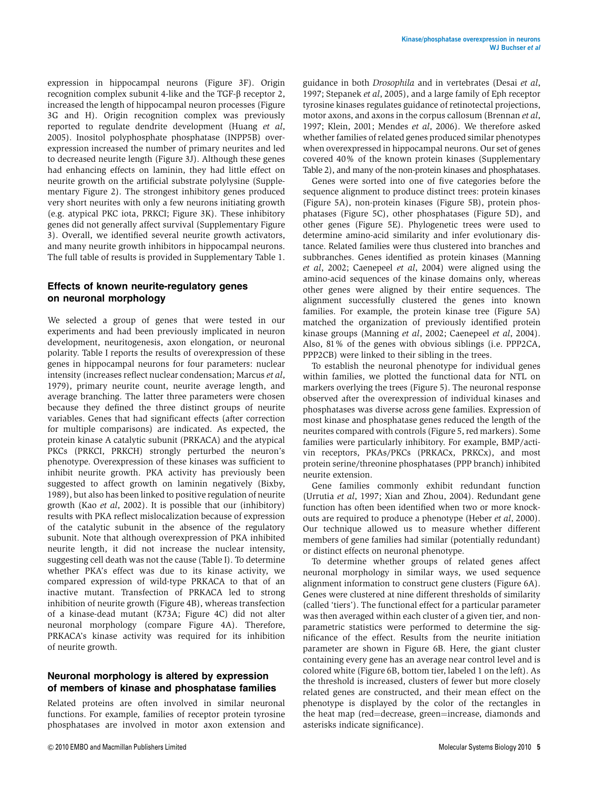expression in hippocampal neurons [\(Figure 3F\)](#page-3-0). Origin recognition complex subunit 4-like and the TGF- $\beta$  receptor 2, increased the length of hippocampal neuron processes [\(Figure](#page-3-0) [3G and H](#page-3-0)). Origin recognition complex was previously reported to regulate dendrite development [\(Huang](#page-14-0) et al, [2005](#page-14-0)). Inositol polyphosphate phosphatase (INPP5B) overexpression increased the number of primary neurites and led to decreased neurite length [\(Figure 3J\)](#page-3-0). Although these genes had enhancing effects on laminin, they had little effect on neurite growth on the artificial substrate polylysine (Supplementary Figure 2). The strongest inhibitory genes produced very short neurites with only a few neurons initiating growth (e.g. atypical PKC iota, PRKCI; [Figure 3K](#page-3-0)). These inhibitory genes did not generally affect survival (Supplementary Figure 3). Overall, we identified several neurite growth activators, and many neurite growth inhibitors in hippocampal neurons. The full table of results is provided in Supplementary Table 1.

# Effects of known neurite-regulatory genes on neuronal morphology

We selected a group of genes that were tested in our experiments and had been previously implicated in neuron development, neuritogenesis, axon elongation, or neuronal polarity. [Table I](#page-5-0) reports the results of overexpression of these genes in hippocampal neurons for four parameters: nuclear intensity (increases reflect nuclear condensation; [Marcus](#page-14-0) et al, [1979\)](#page-14-0), primary neurite count, neurite average length, and average branching. The latter three parameters were chosen because they defined the three distinct groups of neurite variables. Genes that had significant effects (after correction for multiple comparisons) are indicated. As expected, the protein kinase A catalytic subunit (PRKACA) and the atypical PKCs (PRKCI, PRKCH) strongly perturbed the neuron's phenotype. Overexpression of these kinases was sufficient to inhibit neurite growth. PKA activity has previously been suggested to affect growth on laminin negatively ([Bixby,](#page-13-0) [1989\)](#page-13-0), but also has been linked to positive regulation of neurite growth (Kao et al[, 2002\)](#page-14-0). It is possible that our (inhibitory) results with PKA reflect mislocalization because of expression of the catalytic subunit in the absence of the regulatory subunit. Note that although overexpression of PKA inhibited neurite length, it did not increase the nuclear intensity, suggesting cell death was not the cause [\(Table I](#page-5-0)). To determine whether PKA's effect was due to its kinase activity, we compared expression of wild-type PRKACA to that of an inactive mutant. Transfection of PRKACA led to strong inhibition of neurite growth ([Figure 4B\)](#page-6-0), whereas transfection of a kinase-dead mutant (K73A; [Figure 4C](#page-6-0)) did not alter neuronal morphology (compare [Figure 4A](#page-6-0)). Therefore, PRKACA's kinase activity was required for its inhibition of neurite growth.

## Neuronal morphology is altered by expression of members of kinase and phosphatase families

Related proteins are often involved in similar neuronal functions. For example, families of receptor protein tyrosine phosphatases are involved in motor axon extension and

guidance in both Drosophila and in vertebrates [\(Desai](#page-13-0) et al, [1997;](#page-13-0) [Stepanek](#page-15-0) et al, 2005), and a large family of Eph receptor tyrosine kinases regulates guidance of retinotectal projections, motor axons, and axons in the corpus callosum ([Brennan](#page-13-0) et al, [1997;](#page-13-0) [Klein, 2001](#page-14-0); [Mendes](#page-14-0) et al, 2006). We therefore asked whether families of related genes produced similar phenotypes when overexpressed in hippocampal neurons. Our set of genes covered 40% of the known protein kinases (Supplementary Table 2), and many of the non-protein kinases and phosphatases.

Genes were sorted into one of five categories before the sequence alignment to produce distinct trees: protein kinases [\(Figure 5A](#page-6-0)), non-protein kinases ([Figure 5B](#page-6-0)), protein phosphatases [\(Figure 5C](#page-6-0)), other phosphatases ([Figure 5D](#page-6-0)), and other genes ([Figure 5E\)](#page-6-0). Phylogenetic trees were used to determine amino-acid similarity and infer evolutionary distance. Related families were thus clustered into branches and subbranches. Genes identified as protein kinases [\(Manning](#page-14-0) et al[, 2002;](#page-14-0) [Caenepeel](#page-13-0) et al, 2004) were aligned using the amino-acid sequences of the kinase domains only, whereas other genes were aligned by their entire sequences. The alignment successfully clustered the genes into known families. For example, the protein kinase tree ([Figure 5A\)](#page-6-0) matched the organization of previously identified protein kinase groups ([Manning](#page-14-0) et al, 2002; [Caenepeel](#page-13-0) et al, 2004). Also, 81% of the genes with obvious siblings (i.e. PPP2CA, PPP2CB) were linked to their sibling in the trees.

To establish the neuronal phenotype for individual genes within families, we plotted the functional data for NTL on markers overlying the trees ([Figure 5](#page-6-0)). The neuronal response observed after the overexpression of individual kinases and phosphatases was diverse across gene families. Expression of most kinase and phosphatase genes reduced the length of the neurites compared with controls ([Figure 5,](#page-6-0) red markers). Some families were particularly inhibitory. For example, BMP/activin receptors, PKAs/PKCs (PRKACx, PRKCx), and most protein serine/threonine phosphatases (PPP branch) inhibited neurite extension.

Gene families commonly exhibit redundant function [\(Urrutia](#page-15-0) et al, 1997; [Xian and Zhou, 2004\)](#page-15-0). Redundant gene function has often been identified when two or more knockouts are required to produce a phenotype (Heber et al[, 2000\)](#page-14-0). Our technique allowed us to measure whether different members of gene families had similar (potentially redundant) or distinct effects on neuronal phenotype.

To determine whether groups of related genes affect neuronal morphology in similar ways, we used sequence alignment information to construct gene clusters [\(Figure 6A\)](#page-7-0). Genes were clustered at nine different thresholds of similarity (called 'tiers'). The functional effect for a particular parameter was then averaged within each cluster of a given tier, and nonparametric statistics were performed to determine the significance of the effect. Results from the neurite initiation parameter are shown in [Figure 6B.](#page-7-0) Here, the giant cluster containing every gene has an average near control level and is colored white ([Figure 6B,](#page-7-0) bottom tier, labeled 1 on the left). As the threshold is increased, clusters of fewer but more closely related genes are constructed, and their mean effect on the phenotype is displayed by the color of the rectangles in the heat map (red=decrease, green=increase, diamonds and asterisks indicate significance).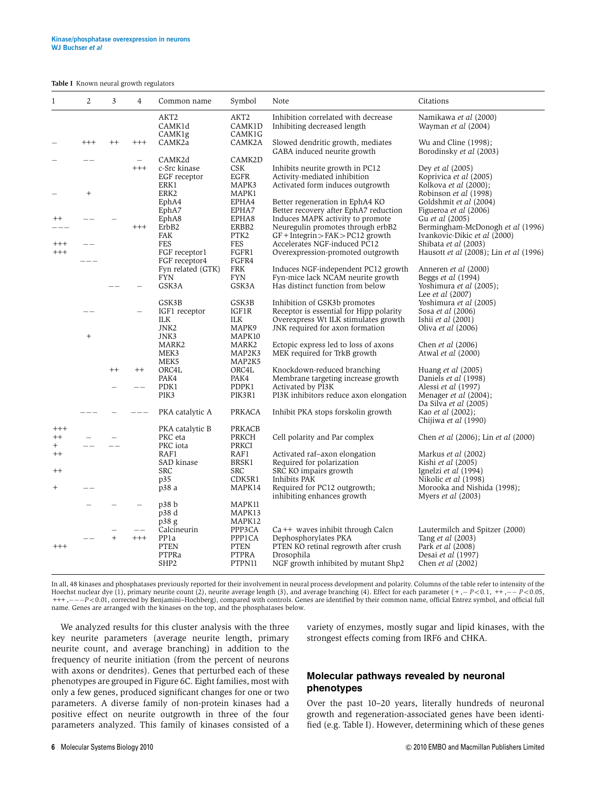#### <span id="page-5-0"></span>Table I Known neural growth regulators

| 1        | $\overline{2}$ | 3       | 4        | Common name                      | Symbol                   | Note                                                               | Citations                                           |
|----------|----------------|---------|----------|----------------------------------|--------------------------|--------------------------------------------------------------------|-----------------------------------------------------|
|          |                |         |          | AKT2<br>CAMK1d<br>CAMK1g         | AKT2<br>CAMK1D<br>CAMK1G | Inhibition correlated with decrease<br>Inhibiting decreased length | Namikawa et al (2000)<br>Wayman et al (2004)        |
|          | $^{+++}$       |         | $^{+++}$ | CAMK2a                           | CAMK2A                   | Slowed dendritic growth, mediates<br>GABA induced neurite growth   | Wu and Cline (1998);<br>Borodinsky et al (2003)     |
|          |                |         |          | CAMK2d                           | CAMK2D                   |                                                                    |                                                     |
|          |                |         | $^{+++}$ | c-Src kinase                     | CSK                      | Inhibits neurite growth in PC12                                    | Dev <i>et al</i> (2005)                             |
|          |                |         |          | EGF receptor                     | <b>EGFR</b>              | Activity-mediated inhibition                                       | Koprivica et al (2005)                              |
|          |                |         |          | ERK1                             | MAPK3                    | Activated form induces outgrowth                                   | Kolkova et al (2000);                               |
|          | $^{+}$         |         |          | ERK <sub>2</sub>                 | MAPK1                    |                                                                    | Robinson et al (1998)                               |
|          |                |         |          | EphA4                            | EPHA4                    | Better regeneration in EphA4 KO                                    | Goldshmit et al (2004)                              |
|          |                |         |          | EphA7                            | EPHA7                    | Better recovery after EphA7 reduction                              | Figueroa et al (2006)                               |
| $^{++}$  |                |         |          | EphA8                            | EPHA8                    | Induces MAPK activity to promote                                   | Gu et al (2005)                                     |
|          |                |         | $^{+++}$ | ErbB2                            | ERBB <sub>2</sub>        | Neuregulin promotes through erbB2                                  | Bermingham-McDonogh et al (1996)                    |
|          |                |         |          | <b>FAK</b>                       | PTK <sub>2</sub>         | $GF + Integrin > FAK > PC12$ growth                                | Ivankovic-Dikic et al (2000)                        |
| $^{+++}$ |                |         |          | FES                              | <b>FES</b><br>FGFR1      | Accelerates NGF-induced PC12                                       | Shibata et al (2003)                                |
| $^{+++}$ |                |         |          | FGF receptor1<br>FGF receptor4   | FGFR4                    | Overexpression-promoted outgrowth                                  | Hausott et al (2008); Lin et al (1996)              |
|          |                |         |          | Fyn related (GTK)                | <b>FRK</b>               | Induces NGF-independent PC12 growth                                | Anneren et al (2000)                                |
|          |                |         |          | <b>FYN</b>                       | <b>FYN</b>               | Fyn-mice lack NCAM neurite growth                                  | Beggs et al (1994)                                  |
|          |                |         |          | GSK3A                            | GSK3A                    | Has distinct function from below                                   | Yoshimura et al (2005);                             |
|          |                |         |          |                                  |                          |                                                                    | Lee et al (2007)                                    |
|          |                |         |          | GSK3B                            | GSK3B                    | Inhibition of GSK3b promotes                                       | Yoshimura et al (2005)                              |
|          |                |         |          | IGF1 receptor                    | IGF1R                    | Receptor is essential for Hipp polarity                            | Sosa et al (2006)                                   |
|          |                |         |          | ILK                              | <b>ILK</b>               | Overexpress Wt ILK stimulates growth                               | Ishii et al $(2001)$                                |
|          |                |         |          | JNK2                             | MAPK9                    | JNK required for axon formation                                    | Oliva et al (2006)                                  |
|          | $^{+}$         |         |          | JNK3                             | MAPK10                   |                                                                    |                                                     |
|          |                |         |          | MARK2                            | MARK2                    | Ectopic express led to loss of axons                               | Chen <i>et al</i> (2006)                            |
|          |                |         |          | MEK3                             | MAP2K3                   | MEK required for TrkB growth                                       | Atwal et al (2000)                                  |
|          |                |         |          | MEK5                             | MAP2K5                   |                                                                    |                                                     |
|          |                | $^{++}$ | $^{++}$  | ORC4L                            | ORC4L                    | Knockdown-reduced branching                                        | Huang et al (2005)                                  |
|          |                |         |          | PAK4                             | PAK4                     | Membrane targeting increase growth                                 | Daniels et al (1998)                                |
|          |                |         |          | PDK1                             | PDPK1                    | Activated by PI3K                                                  | Alessi et al (1997)                                 |
|          |                |         |          | PIK3                             | PIK3R1                   | PI3K inhibitors reduce axon elongation                             | Menager et al (2004);<br>Da Silva et al (2005)      |
|          |                |         |          | PKA catalytic A                  | PRKACA                   | Inhibit PKA stops forskolin growth                                 | Kao et al (2002);<br>Chijiwa et al (1990)           |
| $^{+++}$ |                |         |          | PKA catalytic B                  | <b>PRKACB</b>            |                                                                    |                                                     |
| $^{++}$  |                |         |          | PKC eta                          | PRKCH                    | Cell polarity and Par complex                                      | Chen et al (2006); Lin et al (2000)                 |
| $^{+}$   |                |         |          | PKC iota                         | PRKCI                    |                                                                    |                                                     |
| $^{++}$  |                |         |          | RAF1                             | RAF1                     | Activated raf-axon elongation                                      | Markus et al (2002)                                 |
|          |                |         |          | SAD kinase                       | BRSK1                    | Required for polarization                                          | Kishi et al (2005)                                  |
| $^{++}$  |                |         |          | <b>SRC</b>                       | <b>SRC</b>               | SRC KO impairs growth<br>Inhibits PAK                              | Ignelzi et al (1994)<br>Nikolic et al (1998)        |
| $^+$     |                |         |          | p35<br>p38 a                     | CDK5R1<br>MAPK14         | Required for PC12 outgrowth;                                       | Morooka and Nishida (1998);                         |
|          |                |         |          |                                  |                          | inhibiting enhances growth                                         | Myers et al (2003)                                  |
|          |                |         |          | p38b                             | MAPK11                   |                                                                    |                                                     |
|          |                |         |          | p38 d                            | MAPK13                   |                                                                    |                                                     |
|          |                |         |          | p38 g                            | MAPK12                   |                                                                    |                                                     |
|          |                | $^{+}$  | $^{+++}$ | Calcineurin<br>PP <sub>1</sub> a | PPP3CA<br>PPP1CA         | $Ca++$ waves inhibit through Calcn<br>Dephosphorylates PKA         | Lautermilch and Spitzer (2000)<br>Tang et al (2003) |
| $^{+++}$ |                |         |          | <b>PTEN</b>                      | <b>PTEN</b>              | PTEN KO retinal regrowth after crush                               | Park et al (2008)                                   |
|          |                |         |          | PTPRa                            | <b>PTPRA</b>             | Drosophila                                                         | Desai et al (1997)                                  |
|          |                |         |          | SHP <sub>2</sub>                 | PTPN11                   | NGF growth inhibited by mutant Shp2                                | Chen <i>et al</i> (2002)                            |
|          |                |         |          |                                  |                          |                                                                    |                                                     |

In all, 48 kinases and phosphatases previously reported for their involvement in neural process development and polarity. Columns of the table refer to intensity of the Hoechst nuclear dye (1), primary neurite count (2), neurite average length (3), and average branching (4). Effect for each parameter (+,–  $P$ <0.1, ++,–– $P$ <0.05, +++,---P<0.01, corrected by Benjamini-Hochberg), compared with controls. Genes are identified by their common name, official Entrez symbol, and official full name. Genes are arranged with the kinases on the top, and the phosphatases below.

We analyzed results for this cluster analysis with the three key neurite parameters (average neurite length, primary neurite count, and average branching) in addition to the frequency of neurite initiation (from the percent of neurons with axons or dendrites). Genes that perturbed each of these phenotypes are grouped in [Figure 6C.](#page-7-0) Eight families, most with only a few genes, produced significant changes for one or two parameters. A diverse family of non-protein kinases had a positive effect on neurite outgrowth in three of the four parameters analyzed. This family of kinases consisted of a variety of enzymes, mostly sugar and lipid kinases, with the strongest effects coming from IRF6 and CHKA.

## Molecular pathways revealed by neuronal phenotypes

Over the past 10–20 years, literally hundreds of neuronal growth and regeneration-associated genes have been identified (e.g. Table I). However, determining which of these genes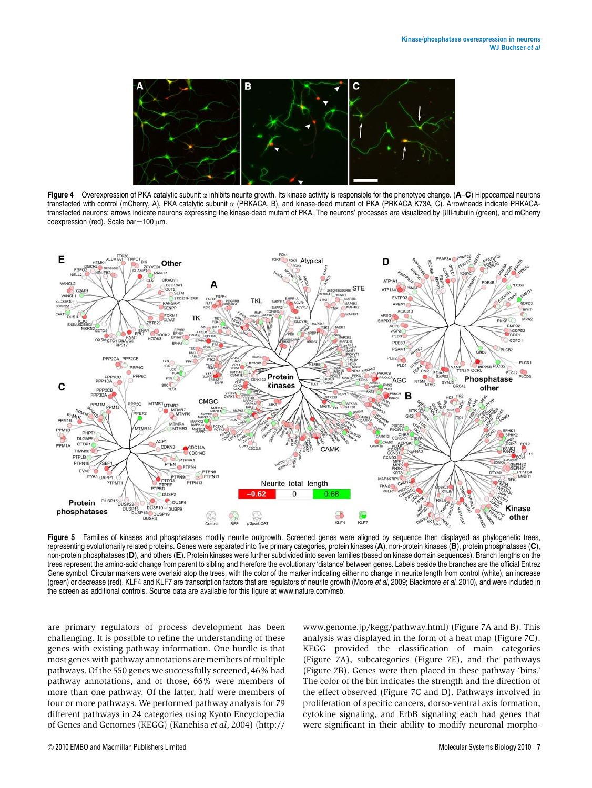<span id="page-6-0"></span>

Figure 4 Overexpression of PKA catalytic subunit  $\alpha$  inhibits neurite growth. Its kinase activity is responsible for the phenotype change. (A–C) Hippocampal neurons transfected with control (mCherry, A), PKA catalytic subunit a (PRKACA, B), and kinase-dead mutant of PKA (PRKACA K73A, C). Arrowheads indicate PRKACAtransfected neurons; arrows indicate neurons expressing the kinase-dead mutant of PKA. The neurons' processes are visualized by bIII-tubulin (green), and mCherry coexpression (red). Scale bar= $100 \mu m$ .



Figure 5 Families of kinases and phosphatases modify neurite outgrowth. Screened genes were aligned by sequence then displayed as phylogenetic trees, representing evolutionarily related proteins. Genes were separated into five primary categories, protein kinases (A), non-protein kinases (B), protein phosphatases (C), non-protein phosphatases (D), and others (E). Protein kinases were further subdivided into seven families (based on kinase domain sequences). Branch lengths on the trees represent the amino-acid change from parent to sibling and therefore the evolutionary 'distance' between genes. Labels beside the branches are the official Entrez Gene symbol. Circular markers were overlaid atop the trees, with the color of the marker indicating either no change in neurite length from control (white), an increase (green) or decrease (red). KLF4 and KLF7 are transcription factors that are regulators of neurite growth [\(Moore](#page-14-0) et al, 2009; [Blackmore](#page-13-0) et al, 2010), and were included in the screen as additional controls. Source data are available for this figure at [www.nature.com/msb.](http://www.nature.com/msb)

are primary regulators of process development has been challenging. It is possible to refine the understanding of these genes with existing pathway information. One hurdle is that most genes with pathway annotations are members of multiple pathways. Of the 550 genes we successfully screened, 46% had pathway annotations, and of those, 66% were members of more than one pathway. Of the latter, half were members of four or more pathways. We performed pathway analysis for 79 different pathways in 24 categories using Kyoto Encyclopedia of Genes and Genomes (KEGG) [\(Kanehisa](#page-14-0) et al, 2004) [\(http://](http://www.genome.jp/kegg/pathway.html)

[www.genome.jp/kegg/pathway.html](http://www.genome.jp/kegg/pathway.html)) [\(Figure 7A and B\)](#page-8-0). This analysis was displayed in the form of a heat map ([Figure 7C\)](#page-8-0). KEGG provided the classification of main categories [\(Figure 7A](#page-8-0)), subcategories [\(Figure 7E\)](#page-8-0), and the pathways [\(Figure 7B\)](#page-8-0). Genes were then placed in these pathway 'bins.' The color of the bin indicates the strength and the direction of the effect observed ([Figure 7C and D\)](#page-8-0). Pathways involved in proliferation of specific cancers, dorso-ventral axis formation, cytokine signaling, and ErbB signaling each had genes that were significant in their ability to modify neuronal morpho-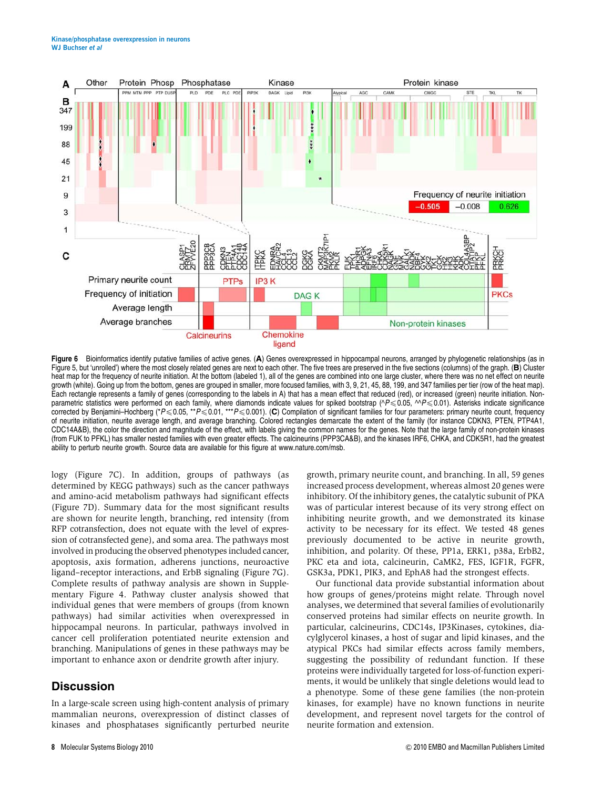<span id="page-7-0"></span>

Figure 6 Bioinformatics identify putative families of active genes. (A) Genes overexpressed in hippocampal neurons, arranged by phylogenetic relationships (as in [Figure 5](#page-6-0), but 'unrolled') where the most closely related genes are next to each other. The five trees are preserved in the five sections (columns) of the graph. (B) Cluster heat map for the frequency of neurite initiation. At the bottom (labeled 1), all of the genes are combined into one large cluster, where there was no net effect on neurite growth (white). Going up from the bottom, genes are grouped in smaller, more focused families, with 3, 9, 21, 45, 88, 199, and 347 families per tier (row of the heat map). Each rectangle represents a family of genes (corresponding to the labels in A) that has a mean effect that reduced (red), or increased (green) neurite initiation. Nonparametric statistics were performed on each family, where diamonds indicate values for spiked bootstrap ( $P \le 0.05$ ,  $P \le 0.01$ ). Asterisks indicate significance corrected by Benjamini–Hochberg (\* $P \le 0.05$ , \*\* $P \le 0.01$ , \*\*\*P $\le 0.001$ ). (C) Compilation of significant families for four parameters: primary neurite count, frequency of neurite initiation, neurite average length, and average branching. Colored rectangles demarcate the extent of the family (for instance CDKN3, PTEN, PTP4A1, CDC14A&B), the color the direction and magnitude of the effect, with labels giving the common names for the genes. Note that the large family of non-protein kinases (from FUK to PFKL) has smaller nested families with even greater effects. The calcineurins (PPP3CA&B), and the kinases IRF6, CHKA, and CDK5R1, had the greatest ability to perturb neurite growth. Source data are available for this figure at [www.nature.com/msb](http://www.nature.com/msb).

logy [\(Figure 7C\)](#page-8-0). In addition, groups of pathways (as determined by KEGG pathways) such as the cancer pathways and amino-acid metabolism pathways had significant effects [\(Figure 7D\)](#page-8-0). Summary data for the most significant results are shown for neurite length, branching, red intensity (from RFP cotransfection, does not equate with the level of expression of cotransfected gene), and soma area. The pathways most involved in producing the observed phenotypes included cancer, apoptosis, axis formation, adherens junctions, neuroactive ligand–receptor interactions, and ErbB signaling ([Figure 7G\)](#page-8-0). Complete results of pathway analysis are shown in Supplementary Figure 4. Pathway cluster analysis showed that individual genes that were members of groups (from known pathways) had similar activities when overexpressed in hippocampal neurons. In particular, pathways involved in cancer cell proliferation potentiated neurite extension and branching. Manipulations of genes in these pathways may be important to enhance axon or dendrite growth after injury.

# **Discussion**

In a large-scale screen using high-content analysis of primary mammalian neurons, overexpression of distinct classes of kinases and phosphatases significantly perturbed neurite growth, primary neurite count, and branching. In all, 59 genes increased process development, whereas almost 20 genes were inhibitory. Of the inhibitory genes, the catalytic subunit of PKA was of particular interest because of its very strong effect on inhibiting neurite growth, and we demonstrated its kinase activity to be necessary for its effect. We tested 48 genes previously documented to be active in neurite growth, inhibition, and polarity. Of these, PP1a, ERK1, p38a, ErbB2, PKC eta and iota, calcineurin, CaMK2, FES, IGF1R, FGFR, GSK3a, PDK1, PIK3, and EphA8 had the strongest effects.

Our functional data provide substantial information about how groups of genes/proteins might relate. Through novel analyses, we determined that several families of evolutionarily conserved proteins had similar effects on neurite growth. In particular, calcineurins, CDC14s, IP3Kinases, cytokines, diacylglycerol kinases, a host of sugar and lipid kinases, and the atypical PKCs had similar effects across family members, suggesting the possibility of redundant function. If these proteins were individually targeted for loss-of-function experiments, it would be unlikely that single deletions would lead to a phenotype. Some of these gene families (the non-protein kinases, for example) have no known functions in neurite development, and represent novel targets for the control of neurite formation and extension.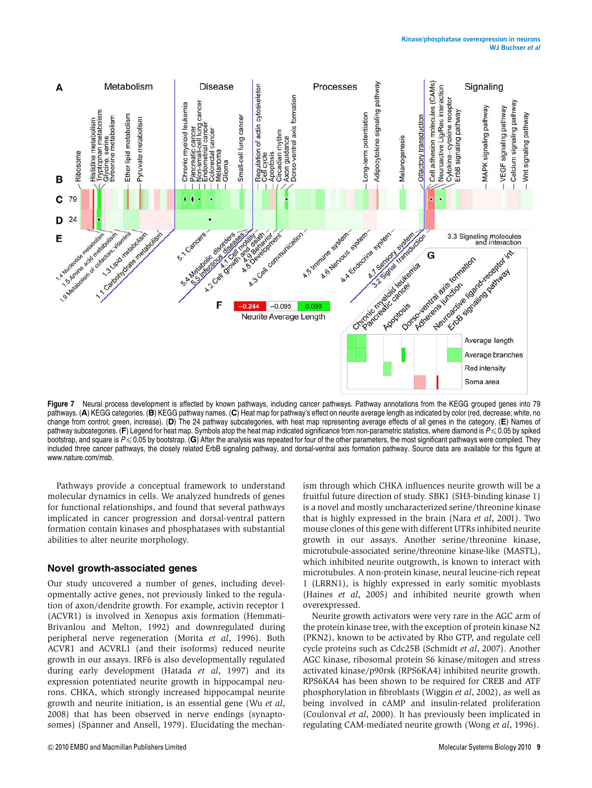<span id="page-8-0"></span>

Figure 7 Neural process development is affected by known pathways, including cancer pathways. Pathway annotations from the KEGG grouped genes into 79 pathways. (A) KEGG categories. (B) KEGG pathway names. (C) Heat map for pathway's effect on neurite average length as indicated by color (red, decrease; white, no change from control; green, increase). (D) The 24 pathway subcategories, with heat map representing average effects of all genes in the category. (E) Names of pathway subcategories. (F) Legend for heat map. Symbols atop the heat map indicated significance from non-parametric statistics, where diamond is  $P \le 0.05$  by spiked bootstrap, and square is  $P \le 0.05$  by bootstrap. (G) After the analysis was repeated for four of the other parameters, the most significant pathways were compiled. They included three cancer pathways, the closely related ErbB signaling pathway, and dorsal-ventral axis formation pathway. Source data are available for this figure at [www.nature.com/msb.](http://www.nature.com/msb)

Pathways provide a conceptual framework to understand molecular dynamics in cells. We analyzed hundreds of genes for functional relationships, and found that several pathways implicated in cancer progression and dorsal-ventral pattern formation contain kinases and phosphatases with substantial abilities to alter neurite morphology.

### Novel growth-associated genes

Our study uncovered a number of genes, including developmentally active genes, not previously linked to the regulation of axon/dendrite growth. For example, activin receptor 1 (ACVR1) is involved in Xenopus axis formation [\(Hemmati-](#page-14-0)[Brivanlou and Melton, 1992](#page-14-0)) and downregulated during peripheral nerve regeneration (Morita et al[, 1996\)](#page-14-0). Both ACVR1 and ACVRL1 (and their isoforms) reduced neurite growth in our assays. IRF6 is also developmentally regulated during early development [\(Hatada](#page-13-0) et al, 1997) and its expression potentiated neurite growth in hippocampal neurons. CHKA, which strongly increased hippocampal neurite growth and neurite initiation, is an essential gene (Wu [et al](#page-15-0), [2008](#page-15-0)) that has been observed in nerve endings (synaptosomes) [\(Spanner and Ansell, 1979\)](#page-15-0). Elucidating the mechanism through which CHKA influences neurite growth will be a fruitful future direction of study. SBK1 (SH3-binding kinase 1) is a novel and mostly uncharacterized serine/threonine kinase that is highly expressed in the brain (Nara et al[, 2001](#page-14-0)). Two mouse clones of this gene with different UTRs inhibited neurite growth in our assays. Another serine/threonine kinase, microtubule-associated serine/threonine kinase-like (MASTL), which inhibited neurite outgrowth, is known to interact with microtubules. A non-protein kinase, neural leucine-rich repeat 1 (LRRN1), is highly expressed in early somitic myoblasts [\(Haines](#page-13-0) et al, 2005) and inhibited neurite growth when overexpressed.

Neurite growth activators were very rare in the AGC arm of the protein kinase tree, with the exception of protein kinase N2 (PKN2), known to be activated by Rho GTP, and regulate cell cycle proteins such as Cdc25B ([Schmidt](#page-15-0) et al, 2007). Another AGC kinase, ribosomal protein S6 kinase/mitogen and stress activated kinase/p90rsk (RPS6KA4) inhibited neurite growth. RPS6KA4 has been shown to be required for CREB and ATF phosphorylation in fibroblasts ([Wiggin](#page-15-0) et al, 2002), as well as being involved in cAMP and insulin-related proliferation [\(Coulonval](#page-13-0) et al, 2000). It has previously been implicated in regulating CAM-mediated neurite growth (Wong et al[, 1996](#page-15-0)).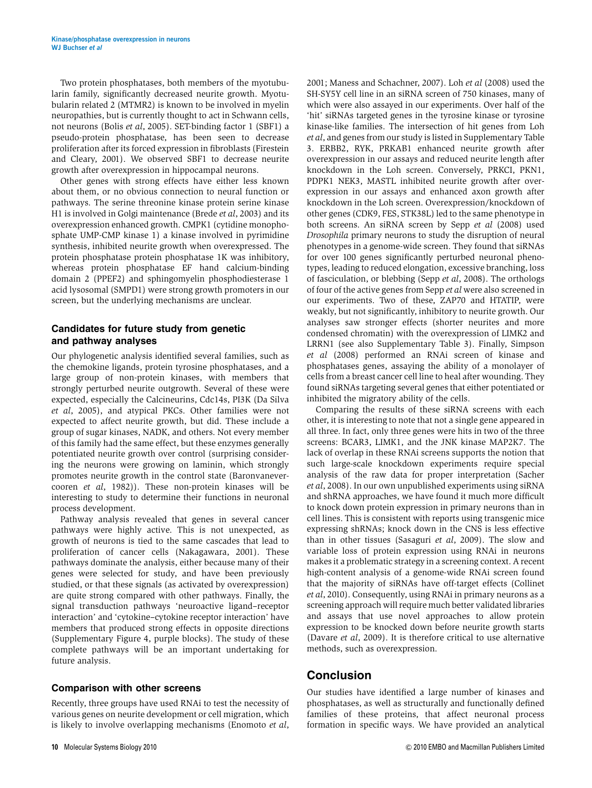Two protein phosphatases, both members of the myotubularin family, significantly decreased neurite growth. Myotubularin related 2 (MTMR2) is known to be involved in myelin neuropathies, but is currently thought to act in Schwann cells, not neurons (Bolis et al[, 2005](#page-13-0)). SET-binding factor 1 (SBF1) a pseudo-protein phosphatase, has been seen to decrease proliferation after its forced expression in fibroblasts [\(Firestein](#page-13-0) [and Cleary, 2001\)](#page-13-0). We observed SBF1 to decrease neurite growth after overexpression in hippocampal neurons.

Other genes with strong effects have either less known about them, or no obvious connection to neural function or pathways. The serine threonine kinase protein serine kinase H1 is involved in Golgi maintenance (Brede et al[, 2003\)](#page-13-0) and its overexpression enhanced growth. CMPK1 (cytidine monophosphate UMP-CMP kinase 1) a kinase involved in pyrimidine synthesis, inhibited neurite growth when overexpressed. The protein phosphatase protein phosphatase 1K was inhibitory, whereas protein phosphatase EF hand calcium-binding domain 2 (PPEF2) and sphingomyelin phosphodiesterase 1 acid lysosomal (SMPD1) were strong growth promoters in our screen, but the underlying mechanisms are unclear.

# Candidates for future study from genetic and pathway analyses

Our phylogenetic analysis identified several families, such as the chemokine ligands, protein tyrosine phosphatases, and a large group of non-protein kinases, with members that strongly perturbed neurite outgrowth. Several of these were expected, especially the Calcineurins, Cdc14s, PI3K ([Da Silva](#page-13-0) et al[, 2005](#page-13-0)), and atypical PKCs. Other families were not expected to affect neurite growth, but did. These include a group of sugar kinases, NADK, and others. Not every member of this family had the same effect, but these enzymes generally potentiated neurite growth over control (surprising considering the neurons were growing on laminin, which strongly promotes neurite growth in the control state ([Baronvanever](#page-13-0)cooren et al[, 1982](#page-13-0))). These non-protein kinases will be interesting to study to determine their functions in neuronal process development.

Pathway analysis revealed that genes in several cancer pathways were highly active. This is not unexpected, as growth of neurons is tied to the same cascades that lead to proliferation of cancer cells ([Nakagawara, 2001](#page-14-0)). These pathways dominate the analysis, either because many of their genes were selected for study, and have been previously studied, or that these signals (as activated by overexpression) are quite strong compared with other pathways. Finally, the signal transduction pathways 'neuroactive ligand–receptor interaction' and 'cytokine–cytokine receptor interaction' have members that produced strong effects in opposite directions (Supplementary Figure 4, purple blocks). The study of these complete pathways will be an important undertaking for future analysis.

## Comparison with other screens

Recently, three groups have used RNAi to test the necessity of various genes on neurite development or cell migration, which is likely to involve overlapping mechanisms ([Enomoto](#page-13-0) et al,

other, it is interesting to note that not a single gene appeared in all three. In fact, only three genes were hits in two of the three screens: BCAR3, LIMK1, and the JNK kinase MAP2K7. The lack of overlap in these RNAi screens supports the notion that such large-scale knockdown experiments require special analysis of the raw data for proper interpretation ([Sacher](#page-15-0) et al[, 2008](#page-15-0)). In our own unpublished experiments using siRNA and shRNA approaches, we have found it much more difficult to knock down protein expression in primary neurons than in cell lines. This is consistent with reports using transgenic mice expressing shRNAs; knock down in the CNS is less effective than in other tissues ([Sasaguri](#page-15-0) et al, 2009). The slow and variable loss of protein expression using RNAi in neurons makes it a problematic strategy in a screening context. A recent high-content analysis of a genome-wide RNAi screen found that the majority of siRNAs have off-target effects ([Collinet](#page-13-0) et al[, 2010\)](#page-13-0). Consequently, using RNAi in primary neurons as a screening approach will require much better validated libraries and assays that use novel approaches to allow protein

inhibited the migratory ability of the cells.

Comparing the results of these siRNA screens with each

# Conclusion

methods, such as overexpression.

Our studies have identified a large number of kinases and phosphatases, as well as structurally and functionally defined families of these proteins, that affect neuronal process formation in specific ways. We have provided an analytical

expression to be knocked down before neurite growth starts [\(Davare](#page-13-0) et al, 2009). It is therefore critical to use alternative

[2001;](#page-13-0) [Maness and Schachner, 2007](#page-14-0)). Loh et al [\(2008\)](#page-14-0) used the SH-SY5Y cell line in an siRNA screen of 750 kinases, many of which were also assayed in our experiments. Over half of the 'hit' siRNAs targeted genes in the tyrosine kinase or tyrosine kinase-like families. The intersection of hit genes from Loh et al, and genes from our study is listed in Supplementary Table 3. ERBB2, RYK, PRKAB1 enhanced neurite growth after overexpression in our assays and reduced neurite length after knockdown in the Loh screen. Conversely, PRKCI, PKN1, PDPK1 NEK3, MASTL inhibited neurite growth after overexpression in our assays and enhanced axon growth after knockdown in the Loh screen. Overexpression/knockdown of other genes (CDK9, FES, STK38L) led to the same phenotype in both screens. An siRNA screen by Sepp et al [\(2008\)](#page-15-0) used Drosophila primary neurons to study the disruption of neural phenotypes in a genome-wide screen. They found that siRNAs for over 100 genes significantly perturbed neuronal phenotypes, leading to reduced elongation, excessive branching, loss of fasciculation, or blebbing (Sepp et al[, 2008](#page-15-0)). The orthologs of four of the active genes from Sepp et al were also screened in our experiments. Two of these, ZAP70 and HTATIP, were weakly, but not significantly, inhibitory to neurite growth. Our analyses saw stronger effects (shorter neurites and more condensed chromatin) with the overexpression of LIMK2 and LRRN1 (see also Supplementary Table 3). Finally, [Simpson](#page-15-0) et al [\(2008\)](#page-15-0) performed an RNAi screen of kinase and phosphatases genes, assaying the ability of a monolayer of cells from a breast cancer cell line to heal after wounding. They found siRNAs targeting several genes that either potentiated or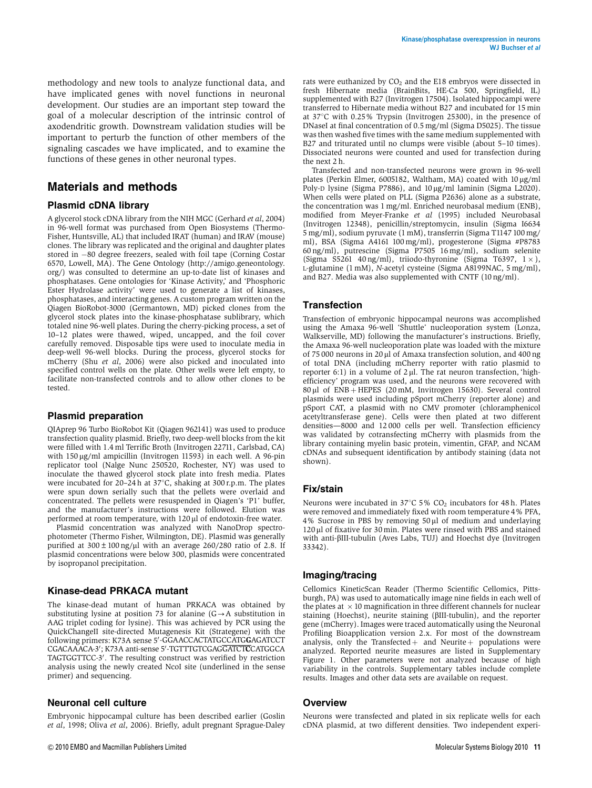methodology and new tools to analyze functional data, and have implicated genes with novel functions in neuronal development. Our studies are an important step toward the goal of a molecular description of the intrinsic control of axodendritic growth. Downstream validation studies will be important to perturb the function of other members of the signaling cascades we have implicated, and to examine the functions of these genes in other neuronal types.

# Materials and methods

### Plasmid cDNA library

A glycerol stock cDNA library from the NIH MGC [\(Gerhard](#page-13-0) et al, 2004) in 96-well format was purchased from Open Biosystems (Thermo-Fisher, Huntsville, AL) that included IRAT (human) and IRAV (mouse) clones. The library was replicated and the original and daughter plates stored in -80 degree freezers, sealed with foil tape (Corning Costar 6570, Lowell, MA). The Gene Ontology ([http://amigo.geneontology.](http://amigo.geneontology.org/) [org/\)](http://amigo.geneontology.org/) was consulted to determine an up-to-date list of kinases and phosphatases. Gene ontologies for 'Kinase Activity,' and 'Phosphoric Ester Hydrolase activity' were used to generate a list of kinases, phosphatases, and interacting genes. A custom program written on the Qiagen BioRobot-3000 (Germantown, MD) picked clones from the glycerol stock plates into the kinase-phosphatase sublibrary, which totaled nine 96-well plates. During the cherry-picking process, a set of 10–12 plates were thawed, wiped, uncapped, and the foil cover carefully removed. Disposable tips were used to inoculate media in deep-well 96-well blocks. During the process, glycerol stocks for mCherry (Shu et al[, 2006\)](#page-15-0) were also picked and inoculated into specified control wells on the plate. Other wells were left empty, to facilitate non-transfected controls and to allow other clones to be tested.

### Plasmid preparation

QIAprep 96 Turbo BioRobot Kit (Qiagen 962141) was used to produce transfection quality plasmid. Briefly, two deep-well blocks from the kit were filled with 1.4 ml Terrific Broth (Invitrogen 22711, Carlsbad, CA) with 150 µg/ml ampicillin (Invitrogen 11593) in each well. A 96-pin replicator tool (Nalge Nunc 250520, Rochester, NY) was used to inoculate the thawed glycerol stock plate into fresh media. Plates were incubated for 20–24 h at  $37^{\circ}$ C, shaking at  $300$  r.p.m. The plates were spun down serially such that the pellets were overlaid and concentrated. The pellets were resuspended in Qiagen's 'P1' buffer, and the manufacturer's instructions were followed. Elution was performed at room temperature, with  $120 \mu$ l of endotoxin-free water.

Plasmid concentration was analyzed with NanoDrop spectrophotometer (Thermo Fisher, Wilmington, DE). Plasmid was generally purified at  $300 \pm 100$  ng/ $\mu$ l with an average 260/280 ratio of 2.8. If plasmid concentrations were below 300, plasmids were concentrated by isopropanol precipitation.

### Kinase-dead PRKACA mutant

The kinase-dead mutant of human PRKACA was obtained by substituting lysine at position 73 for alanine  $(G \rightarrow A$  substitution in AAG triplet coding for lysine). This was achieved by PCR using the QuickChangeII site-directed Mutagenesis Kit (Strategene) with the following primers: K73A sense 5'-GGAACCACTATGCCATGGAGATCCT CGACAAACA-3'; K73A anti-sense 5'-TGTTTGTCGAGGATCTCCATGGCA TAGTGGTTCC-3'. The resulting construct was verified by restriction analysis using the newly created NcoI site (underlined in the sense primer) and sequencing.

### Neuronal cell culture

Embryonic hippocampal culture has been described earlier ([Goslin](#page-13-0) et al[, 1998;](#page-13-0) Oliva et al[, 2006\)](#page-14-0). Briefly, adult pregnant Sprague-Daley

rats were euthanized by  $CO<sub>2</sub>$  and the E18 embryos were dissected in fresh Hibernate media (BrainBits, HE-Ca 500, Springfield, IL) supplemented with B27 (Invitrogen 17504). Isolated hippocampi were transferred to Hibernate media without B27 and incubated for 15 min at  $37^{\circ}$ C with 0.25% Trypsin (Invitrogen 25300), in the presence of DNaseI at final concentration of 0.5 mg/ml (Sigma D5025). The tissue was then washed five times with the same medium supplemented with B27 and triturated until no clumps were visible (about 5–10 times). Dissociated neurons were counted and used for transfection during the next 2 h.

Transfected and non-transfected neurons were grown in 96-well plates (Perkin Elmer, 6005182, Waltham, MA) coated with 10 µg/ml Poly-D lysine (Sigma P7886), and 10 µg/ml laminin (Sigma L2020). When cells were plated on PLL (Sigma P2636) alone as a substrate, the concentration was 1 mg/ml. Enriched neurobasal medium (ENB), modified from [Meyer-Franke](#page-14-0) et al (1995) included Neurobasal (Invitrogen 12348), penicillin/streptomycin, insulin (Sigma I6634 5 mg/ml), sodium pyruvate (1 mM), transferrin (Sigma T1147 100 mg/ ml), BSA (Sigma A4161 100 mg/ml), progesterone (Sigma #P8783 60 ng/ml), putrescine (Sigma P7505 16 mg/ml), sodium selenite (Sigma S5261 40 ng/ml), triiodo-thyronine (Sigma T6397,  $1 \times$ ), L-glutamine (1 mM), N-acetyl cysteine (Sigma A8199NAC, 5 mg/ml), and B27. Media was also supplemented with CNTF (10 ng/ml).

### **Transfection**

Transfection of embryonic hippocampal neurons was accomplished using the Amaxa 96-well 'Shuttle' nucleoporation system (Lonza, Walkserville, MD) following the manufacturer's instructions. Briefly, the Amaxa 96-well nucleoporation plate was loaded with the mixture of  $75000$  neurons in  $20 \mu$ l of Amaxa transfection solution, and  $400 \text{ ng}$ of total DNA (including mCherry reporter with ratio plasmid to reporter 6:1) in a volume of  $2 \mu l$ . The rat neuron transfection, 'highefficiency' program was used, and the neurons were recovered with 80 µl of ENB + HEPES (20 mM, Invitrogen 15630). Several control plasmids were used including pSport mCherry (reporter alone) and pSport CAT, a plasmid with no CMV promoter (chloramphenicol acetyltransferase gene). Cells were then plated at two different densities—8000 and 12 000 cells per well. Transfection efficiency was validated by cotransfecting mCherry with plasmids from the library containing myelin basic protein, vimentin, GFAP, and NCAM cDNAs and subsequent identification by antibody staining (data not shown).

### Fix/stain

Neurons were incubated in 37 $\degree$ C 5% CO<sub>2</sub> incubators for 48 h. Plates were removed and immediately fixed with room temperature 4% PFA, 4% Sucrose in PBS by removing 50 µl of medium and underlaying  $120 \,\mu$ l of fixative for 30 min. Plates were rinsed with PBS and stained with anti- $\beta$ III-tubulin (Aves Labs, TUJ) and Hoechst dye (Invitrogen 33342).

### Imaging/tracing

Cellomics KineticScan Reader (Thermo Scientific Cellomics, Pittsburgh, PA) was used to automatically image nine fields in each well of the plates at  $\times$  10 magnification in three different channels for nuclear staining (Hoechst), neurite staining (bIII-tubulin), and the reporter gene (mCherry). Images were traced automatically using the Neuronal Profiling Bioapplication version 2.x. For most of the downstream analysis, only the Transfected  $+$  and Neurite  $+$  populations were analyzed. Reported neurite measures are listed in Supplementary Figure 1. Other parameters were not analyzed because of high variability in the controls. Supplementary tables include complete results. Images and other data sets are available on request.

### **Overview**

Neurons were transfected and plated in six replicate wells for each cDNA plasmid, at two different densities. Two independent experi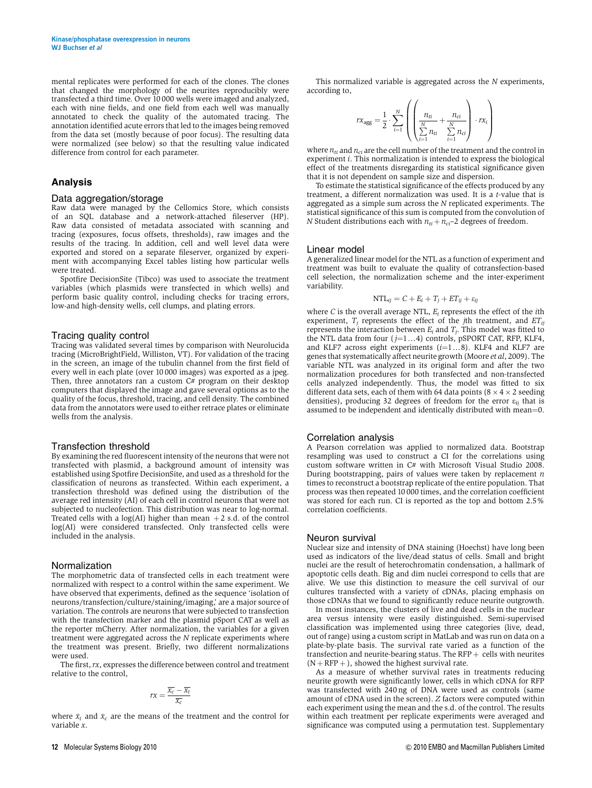mental replicates were performed for each of the clones. The clones that changed the morphology of the neurites reproducibly were transfected a third time. Over 10 000 wells were imaged and analyzed, each with nine fields, and one field from each well was manually annotated to check the quality of the automated tracing. The annotation identified acute errors that led to the images being removed from the data set (mostly because of poor focus). The resulting data were normalized (see below) so that the resulting value indicated difference from control for each parameter.

### Analysis

#### Data aggregation/storage

Raw data were managed by the Cellomics Store, which consists of an SQL database and a network-attached fileserver (HP). Raw data consisted of metadata associated with scanning and tracing (exposures, focus offsets, thresholds), raw images and the results of the tracing. In addition, cell and well level data were exported and stored on a separate fileserver, organized by experiment with accompanying Excel tables listing how particular wells were treated.

Spotfire DecisionSite (Tibco) was used to associate the treatment variables (which plasmids were transfected in which wells) and perform basic quality control, including checks for tracing errors, low-and high-density wells, cell clumps, and plating errors.

### Tracing quality control

Tracing was validated several times by comparison with Neurolucida tracing (MicroBrightField, Williston, VT). For validation of the tracing in the screen, an image of the tubulin channel from the first field of every well in each plate (over 10 000 images) was exported as a jpeg. Then, three annotators ran a custom  $C#$  program on their desktop computers that displayed the image and gave several options as to the quality of the focus, threshold, tracing, and cell density. The combined data from the annotators were used to either retrace plates or eliminate wells from the analysis.

#### Transfection threshold

By examining the red fluorescent intensity of the neurons that were not transfected with plasmid, a background amount of intensity was established using Spotfire DecisionSite, and used as a threshold for the classification of neurons as transfected. Within each experiment, a transfection threshold was defined using the distribution of the average red intensity (AI) of each cell in control neurons that were not subjected to nucleofection. This distribution was near to log-normal. Treated cells with a log(AI) higher than mean  $+2$  s.d. of the control log(AI) were considered transfected. Only transfected cells were included in the analysis.

#### Normalization

The morphometric data of transfected cells in each treatment were normalized with respect to a control within the same experiment. We have observed that experiments, defined as the sequence 'isolation of neurons/transfection/culture/staining/imaging,' are a major source of variation. The controls are neurons that were subjected to transfection with the transfection marker and the plasmid pSport CAT as well as the reporter mCherry. After normalization, the variables for a given treatment were aggregated across the N replicate experiments where the treatment was present. Briefly, two different normalizations were used.

The first,  $rx$ , expresses the difference between control and treatment relative to the control,

$$
rx = \frac{\overline{x_c} - \overline{x_t}}{\overline{x_c}}
$$

where  $\bar{x}_t$  and  $\bar{x}_c$  are the means of the treatment and the control for variable x.

This normalized variable is aggregated across the N experiments, according to,

$$
rx_{\text{agg}} = \frac{1}{2} \cdot \sum_{i=1}^{N} \left( \left( \frac{n_{ti}}{\sum_{i=1}^{N} n_{ti}} + \frac{n_{ci}}{\sum_{i=1}^{N} n_{ci}} \right) \cdot rx_i \right)
$$

where  $n_{ti}$  and  $n_{ci}$  are the cell number of the treatment and the control in experiment i. This normalization is intended to express the biological effect of the treatments disregarding its statistical significance given that it is not dependent on sample size and dispersion.

To estimate the statistical significance of the effects produced by any treatment, a different normalization was used. It is a t-value that is aggregated as a simple sum across the N replicated experiments. The statistical significance of this sum is computed from the convolution of N Student distributions each with  $n_{ti} + n_{ci}$ –2 degrees of freedom.

#### Linear model

A generalized linear model for the NTL as a function of experiment and treatment was built to evaluate the quality of cotransfection-based cell selection, the normalization scheme and the inter-experiment variability.

$$
NTL_{ij} = C + E_i + T_j + ET_{ij} + \varepsilon_{ij}
$$

where  $C$  is the overall average NTL,  $E_i$  represents the effect of the *i*th experiment,  $T_i$  represents the effect of the *j*th treatment, and  $ET_{ii}$ represents the interaction between  $E_i$  and  $T_j$ . This model was fitted to the NTL data from four  $(j=1...4)$  controls, pSPORT CAT, RFP, KLF4, and KLF7 across eight experiments  $(i=1...8)$ . KLF4 and KLF7 are genes that systematically affect neurite growth ([Moore](#page-14-0) et al, 2009). The variable NTL was analyzed in its original form and after the two normalization procedures for both transfected and non-transfected cells analyzed independently. Thus, the model was fitted to six different data sets, each of them with 64 data points ( $8 \times 4 \times 2$  seeding densities), producing 32 degrees of freedom for the error  $\varepsilon_{ii}$  that is assumed to be independent and identically distributed with mean=0.

#### Correlation analysis

A Pearson correlation was applied to normalized data. Bootstrap resampling was used to construct a CI for the correlations using custom software written in C# with Microsoft Visual Studio 2008. During bootstrapping, pairs of values were taken by replacement  $n$ times to reconstruct a bootstrap replicate of the entire population. That process was then repeated 10 000 times, and the correlation coefficient was stored for each run. CI is reported as the top and bottom 2.5% correlation coefficients.

#### Neuron survival

Nuclear size and intensity of DNA staining (Hoechst) have long been used as indicators of the live/dead status of cells. Small and bright nuclei are the result of heterochromatin condensation, a hallmark of apoptotic cells death. Big and dim nuclei correspond to cells that are alive. We use this distinction to measure the cell survival of our cultures transfected with a variety of cDNAs, placing emphasis on those cDNAs that we found to significantly reduce neurite outgrowth.

In most instances, the clusters of live and dead cells in the nuclear area versus intensity were easily distinguished. Semi-supervised classification was implemented using three categories (live, dead, out of range) using a custom script in MatLab and was run on data on a plate-by-plate basis. The survival rate varied as a function of the transfection and neurite-bearing status. The  $RFP +$  cells with neurites  $(N + RFP + )$ , showed the highest survival rate.

As a measure of whether survival rates in treatments reducing neurite growth were significantly lower, cells in which cDNA for RFP was transfected with 240 ng of DNA were used as controls (same amount of cDNA used in the screen). Z factors were computed within each experiment using the mean and the s.d. of the control. The results within each treatment per replicate experiments were averaged and significance was computed using a permutation test. Supplementary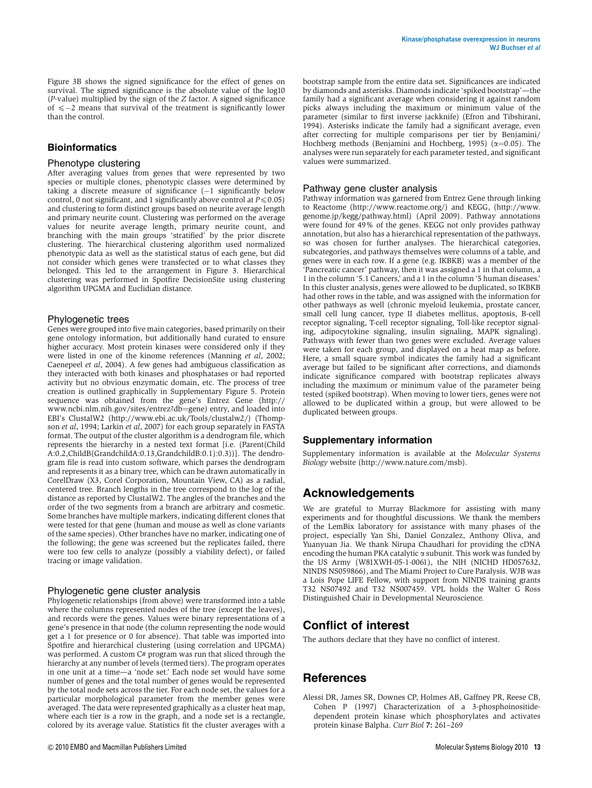<span id="page-12-0"></span>Figure 3B shows the signed significance for the effect of genes on survival. The signed significance is the absolute value of the log10 (P-value) multiplied by the sign of the Z factor. A signed significance of  $\leqslant$  –2 means that survival of the treatment is significantly lower than the control.

### **Bioinformatics**

#### Phenotype clustering

After averaging values from genes that were represented by two species or multiple clones, phenotypic classes were determined by taking a discrete measure of significance (–1 significantly below control, 0 not significant, and 1 significantly above control at  $P \le 0.05$ ) and clustering to form distinct groups based on neurite average length and primary neurite count. Clustering was performed on the average values for neurite average length, primary neurite count, and branching with the main groups 'stratified' by the prior discrete clustering. The hierarchical clustering algorithm used normalized phenotypic data as well as the statistical status of each gene, but did not consider which genes were transfected or to what classes they belonged. This led to the arrangement in [Figure 3](#page-3-0). Hierarchical clustering was performed in Spotfire DecisionSite using clustering algorithm UPGMA and Euclidian distance.

#### Phylogenetic trees

Genes were grouped into five main categories, based primarily on their gene ontology information, but additionally hand curated to ensure higher accuracy. Most protein kinases were considered only if they were listed in one of the kinome references [\(Manning](#page-14-0) et al, 2002; [Caenepeel](#page-13-0) et al, 2004). A few genes had ambiguous classification as they interacted with both kinases and phosphatases or had reported activity but no obvious enzymatic domain, etc. The process of tree creation is outlined graphically in Supplementary Figure 5. Protein sequence was obtained from the gene's Entrez Gene [\(http://](http://www.ncbi.nlm.nih.gov/sites/entrez?db=gene) [www.ncbi.nlm.nih.gov/sites/entrez?db](http://www.ncbi.nlm.nih.gov/sites/entrez?db=gene)=[gene\)](http://www.ncbi.nlm.nih.gov/sites/entrez?db=gene) entry, and loaded into EBI's ClustalW2 ([http://www.ebi.ac.uk/Tools/clustalw2/\)](http://www.ebi.ac.uk/Tools/clustalw2/) ([Thomp](#page-15-0)son et al[, 1994;](#page-15-0) [Larkin](#page-14-0) et al, 2007) for each group separately in FASTA format. The output of the cluster algorithm is a dendrogram file, which represents the hierarchy in a nested text format [i.e. (Parent(Child A:0.2,ChildB(GrandchildA:0.13,GrandchildB:0.1):0.3))]. The dendrogram file is read into custom software, which parses the dendrogram and represents it as a binary tree, which can be drawn automatically in CorelDraw (X3, Corel Corporation, Mountain View, CA) as a radial, centered tree. Branch lengths in the tree correspond to the log of the distance as reported by ClustalW2. The angles of the branches and the order of the two segments from a branch are arbitrary and cosmetic. Some branches have multiple markers, indicating different clones that were tested for that gene (human and mouse as well as clone variants of the same species). Other branches have no marker, indicating one of the following; the gene was screened but the replicates failed, there were too few cells to analyze (possibly a viability defect), or failed tracing or image validation.

#### Phylogenetic gene cluster analysis

Phylogenetic relationships (from above) were transformed into a table where the columns represented nodes of the tree (except the leaves), and records were the genes. Values were binary representations of a gene's presence in that node (the column representing the node would get a 1 for presence or 0 for absence). That table was imported into Spotfire and hierarchical clustering (using correlation and UPGMA) was performed. A custom C# program was run that sliced through the hierarchy at any number of levels (termed tiers). The program operates in one unit at a time—a 'node set.' Each node set would have some number of genes and the total number of genes would be represented by the total node sets across the tier. For each node set, the values for a particular morphological parameter from the member genes were averaged. The data were represented graphically as a cluster heat map, where each tier is a row in the graph, and a node set is a rectangle, colored by its average value. Statistics fit the cluster averages with a bootstrap sample from the entire data set. Significances are indicated by diamonds and asterisks. Diamonds indicate 'spiked bootstrap'—the family had a significant average when considering it against random picks always including the maximum or minimum value of the parameter (similar to first inverse jackknife) [\(Efron and Tibshirani,](#page-13-0) [1994](#page-13-0)). Asterisks indicate the family had a significant average, even after correcting for multiple comparisons per tier by Benjamini/ Hochberg methods [\(Benjamini and Hochberg, 1995\)](#page-13-0) ( $\alpha$ =0.05). The analyses were run separately for each parameter tested, and significant values were summarized.

### Pathway gene cluster analysis

Pathway information was garnered from Entrez Gene through linking to Reactome [\(http://www.reactome.org/\)](http://www.reactome.org/) and KEGG, ([http://www.](http://www.genome.jp/kegg/pathway.html) [genome.jp/kegg/pathway.html](http://www.genome.jp/kegg/pathway.html)) (April 2009). Pathway annotations were found for 49% of the genes. KEGG not only provides pathway annotation, but also has a hierarchical representation of the pathways, so was chosen for further analyses. The hierarchical categories, subcategories, and pathways themselves were columns of a table, and genes were in each row. If a gene (e.g. IKBKB) was a member of the 'Pancreatic cancer' pathway, then it was assigned a 1 in that column, a 1 in the column '5.1 Cancers,' and a 1 in the column '5 human diseases.' In this cluster analysis, genes were allowed to be duplicated, so IKBKB had other rows in the table, and was assigned with the information for other pathways as well (chronic myeloid leukemia, prostate cancer, small cell lung cancer, type II diabetes mellitus, apoptosis, B-cell receptor signaling, T-cell receptor signaling, Toll-like receptor signaling, adipocytokine signaling, insulin signaling, MAPK signaling). Pathways with fewer than two genes were excluded. Average values were taken for each group, and displayed on a heat map as before. Here, a small square symbol indicates the family had a significant average but failed to be significant after corrections, and diamonds indicate significance compared with bootstrap replicates always including the maximum or minimum value of the parameter being tested (spiked bootstrap). When moving to lower tiers, genes were not allowed to be duplicated within a group, but were allowed to be duplicated between groups.

### Supplementary information

Supplementary information is available at the Molecular Systems Biology website (<http://www.nature.com/msb>).

## Acknowledgements

We are grateful to Murray Blackmore for assisting with many experiments and for thoughtful discussions. We thank the members of the LemBix laboratory for assistance with many phases of the project, especially Yan Shi, Daniel Gonzalez, Anthony Oliva, and Yuanyuan Jia. We thank Nirupa Chaudhari for providing the cDNA encoding the human PKA catalytic  $\alpha$  subunit. This work was funded by the US Army (W81XWH-05-1-0061), the NIH (NICHD HD057632, NINDS NS059866), and The Miami Project to Cure Paralysis. WJB was a Lois Pope LIFE Fellow, with support from NINDS training grants T32 NS07492 and T32 NS007459. VPL holds the Walter G Ross Distinguished Chair in Developmental Neuroscience.

# Conflict of interest

The authors declare that they have no conflict of interest.

# **References**

Alessi DR, James SR, Downes CP, Holmes AB, Gaffney PR, Reese CB, Cohen P (1997) Characterization of a 3-phosphoinositidedependent protein kinase which phosphorylates and activates protein kinase Balpha. Curr Biol 7: 261–269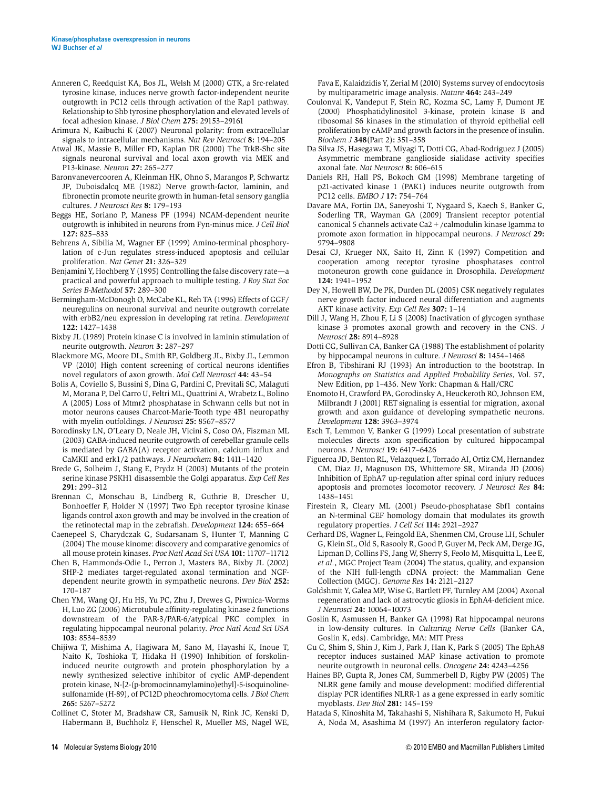- <span id="page-13-0"></span>Anneren C, Reedquist KA, Bos JL, Welsh M (2000) GTK, a Src-related tyrosine kinase, induces nerve growth factor-independent neurite outgrowth in PC12 cells through activation of the Rap1 pathway. Relationship to Shb tyrosine phosphorylation and elevated levels of focal adhesion kinase. J Biol Chem 275: 29153–29161
- Arimura N, Kaibuchi K (2007) Neuronal polarity: from extracellular signals to intracellular mechanisms. Nat Rev Neurosci 8: 194–205
- Atwal JK, Massie B, Miller FD, Kaplan DR (2000) The TrkB-Shc site signals neuronal survival and local axon growth via MEK and P13-kinase. Neuron 27: 265–277
- Baronvanevercooren A, Kleinman HK, Ohno S, Marangos P, Schwartz JP, Duboisdalcq ME (1982) Nerve growth-factor, laminin, and fibronectin promote neurite growth in human-fetal sensory ganglia cultures. J Neurosci Res 8: 179–193
- Beggs HE, Soriano P, Maness PF (1994) NCAM-dependent neurite outgrowth is inhibited in neurons from Fyn-minus mice. J Cell Biol 127: 825–833
- Behrens A, Sibilia M, Wagner EF (1999) Amino-terminal phosphorylation of c-Jun regulates stress-induced apoptosis and cellular proliferation. Nat Genet 21: 326–329
- Benjamini Y, Hochberg Y (1995) Controlling the false discovery rate—a practical and powerful approach to multiple testing. J Roy Stat Soc Series B-Methodol 57: 289–300
- Bermingham-McDonogh O, McCabe KL, Reh TA (1996) Effects of GGF/ neuregulins on neuronal survival and neurite outgrowth correlate with erbB2/neu expression in developing rat retina. Development 122: 1427–1438
- Bixby JL (1989) Protein kinase C is involved in laminin stimulation of neurite outgrowth. Neuron 3: 287–297
- Blackmore MG, Moore DL, Smith RP, Goldberg JL, Bixby JL, Lemmon VP (2010) High content screening of cortical neurons identifies novel regulators of axon growth. Mol Cell Neurosci 44: 43–54
- Bolis A, Coviello S, Bussini S, Dina G, Pardini C, Previtali SC, Malaguti M, Morana P, Del Carro U, Feltri ML, Quattrini A, Wrabetz L, Bolino A (2005) Loss of Mtmr2 phosphatase in Schwann cells but not in motor neurons causes Charcot-Marie-Tooth type 4B1 neuropathy with myelin outfoldings. J Neurosci 25: 8567-8577
- Borodinsky LN, O'Leary D, Neale JH, Vicini S, Coso OA, Fiszman ML (2003) GABA-induced neurite outgrowth of cerebellar granule cells is mediated by GABA(A) receptor activation, calcium influx and CaMKII and erk1/2 pathways. J Neurochem 84: 1411–1420
- Brede G, Solheim J, Stang E, Prydz H (2003) Mutants of the protein serine kinase PSKH1 disassemble the Golgi apparatus. Exp Cell Res 291: 299–312
- Brennan C, Monschau B, Lindberg R, Guthrie B, Drescher U, Bonhoeffer F, Holder N (1997) Two Eph receptor tyrosine kinase ligands control axon growth and may be involved in the creation of the retinotectal map in the zebrafish. Development 124: 655–664
- Caenepeel S, Charydczak G, Sudarsanam S, Hunter T, Manning G (2004) The mouse kinome: discovery and comparative genomics of all mouse protein kinases. Proc Natl Acad Sci USA 101: 11707–11712
- Chen B, Hammonds-Odie L, Perron J, Masters BA, Bixby JL (2002) SHP-2 mediates target-regulated axonal termination and NGFdependent neurite growth in sympathetic neurons. Dev Biol 252: 170–187
- Chen YM, Wang QJ, Hu HS, Yu PC, Zhu J, Drewes G, Piwnica-Worms H, Luo ZG (2006) Microtubule affinity-regulating kinase 2 functions downstream of the PAR-3/PAR-6/atypical PKC complex in regulating hippocampal neuronal polarity. Proc Natl Acad Sci USA 103: 8534–8539
- Chijiwa T, Mishima A, Hagiwara M, Sano M, Hayashi K, Inoue T, Naito K, Toshioka T, Hidaka H (1990) Inhibition of forskolininduced neurite outgrowth and protein phosphorylation by a newly synthesized selective inhibitor of cyclic AMP-dependent protein kinase, N-[2-(p-bromocinnamylamino)ethyl]-5-isoquinolinesulfonamide (H-89), of PC12D pheochromocytoma cells. J Biol Chem 265: 5267–5272
- Collinet C, Stoter M, Bradshaw CR, Samusik N, Rink JC, Kenski D, Habermann B, Buchholz F, Henschel R, Mueller MS, Nagel WE,

Fava E, Kalaidzidis Y, Zerial M (2010) Systems survey of endocytosis by multiparametric image analysis. Nature 464: 243–249

- Coulonval K, Vandeput F, Stein RC, Kozma SC, Lamy F, Dumont JE (2000) Phosphatidylinositol 3-kinase, protein kinase B and ribosomal S6 kinases in the stimulation of thyroid epithelial cell proliferation by cAMP and growth factors in the presence of insulin. Biochem J 348(Part 2): 351–358
- Da Silva JS, Hasegawa T, Miyagi T, Dotti CG, Abad-Rodriguez J (2005) Asymmetric membrane ganglioside sialidase activity specifies axonal fate. Nat Neurosci 8: 606–615
- Daniels RH, Hall PS, Bokoch GM (1998) Membrane targeting of p21-activated kinase 1 (PAK1) induces neurite outgrowth from PC12 cells. EMBO J 17: 754–764
- Davare MA, Fortin DA, Saneyoshi T, Nygaard S, Kaech S, Banker G, Soderling TR, Wayman GA (2009) Transient receptor potential canonical 5 channels activate Ca2+/calmodulin kinase Igamma to promote axon formation in hippocampal neurons. J Neurosci 29: 9794–9808
- Desai CJ, Krueger NX, Saito H, Zinn K (1997) Competition and cooperation among receptor tyrosine phosphatases control motoneuron growth cone guidance in Drosophila. Development 124: 1941–1952
- Dey N, Howell BW, De PK, Durden DL (2005) CSK negatively regulates nerve growth factor induced neural differentiation and augments AKT kinase activity. Exp Cell Res 307: 1–14
- Dill J, Wang H, Zhou F, Li S (2008) Inactivation of glycogen synthase kinase 3 promotes axonal growth and recovery in the CNS. J Neurosci 28: 8914–8928
- Dotti CG, Sullivan CA, Banker GA (1988) The establishment of polarity by hippocampal neurons in culture. J Neurosci 8: 1454–1468
- Efron B, Tibshirani RJ (1993) An introduction to the bootstrap. In Monographs on Statistics and Applied Probability Series, Vol. 57, New Edition, pp 1–436. New York: Chapman & Hall/CRC
- Enomoto H, Crawford PA, Gorodinsky A, Heuckeroth RO, Johnson EM, Milbrandt J (2001) RET signaling is essential for migration, axonal growth and axon guidance of developing sympathetic neurons. Development 128: 3963–3974
- Esch T, Lemmon V, Banker G (1999) Local presentation of substrate molecules directs axon specification by cultured hippocampal neurons. J Neurosci 19: 6417–6426
- Figueroa JD, Benton RL, Velazquez I, Torrado AI, Ortiz CM, Hernandez CM, Diaz JJ, Magnuson DS, Whittemore SR, Miranda JD (2006) Inhibition of EphA7 up-regulation after spinal cord injury reduces apoptosis and promotes locomotor recovery. J Neurosci Res 84: 1438–1451
- Firestein R, Cleary ML (2001) Pseudo-phosphatase Sbf1 contains an N-terminal GEF homology domain that modulates its growth regulatory properties. J Cell Sci 114: 2921–2927
- Gerhard DS, Wagner L, Feingold EA, Shenmen CM, Grouse LH, Schuler G, Klein SL, Old S, Rasooly R, Good P, Guyer M, Peck AM, Derge JG, Lipman D, Collins FS, Jang W, Sherry S, Feolo M, Misquitta L, Lee E, et al., MGC Project Team (2004) The status, quality, and expansion of the NIH full-length cDNA project: the Mammalian Gene Collection (MGC). Genome Res 14: 2121–2127
- Goldshmit Y, Galea MP, Wise G, Bartlett PF, Turnley AM (2004) Axonal regeneration and lack of astrocytic gliosis in EphA4-deficient mice. J Neurosci 24: 10064–10073
- Goslin K, Asmussen H, Banker GA (1998) Rat hippocampal neurons in low-density cultures. In Culturing Nerve Cells (Banker GA, Goslin K, eds). Cambridge, MA: MIT Press
- Gu C, Shim S, Shin J, Kim J, Park J, Han K, Park S (2005) The EphA8 receptor induces sustained MAP kinase activation to promote neurite outgrowth in neuronal cells. Oncogene 24: 4243–4256
- Haines BP, Gupta R, Jones CM, Summerbell D, Rigby PW (2005) The NLRR gene family and mouse development: modified differential display PCR identifies NLRR-1 as a gene expressed in early somitic myoblasts. Dev Biol 281: 145–159
- Hatada S, Kinoshita M, Takahashi S, Nishihara R, Sakumoto H, Fukui A, Noda M, Asashima M (1997) An interferon regulatory factor-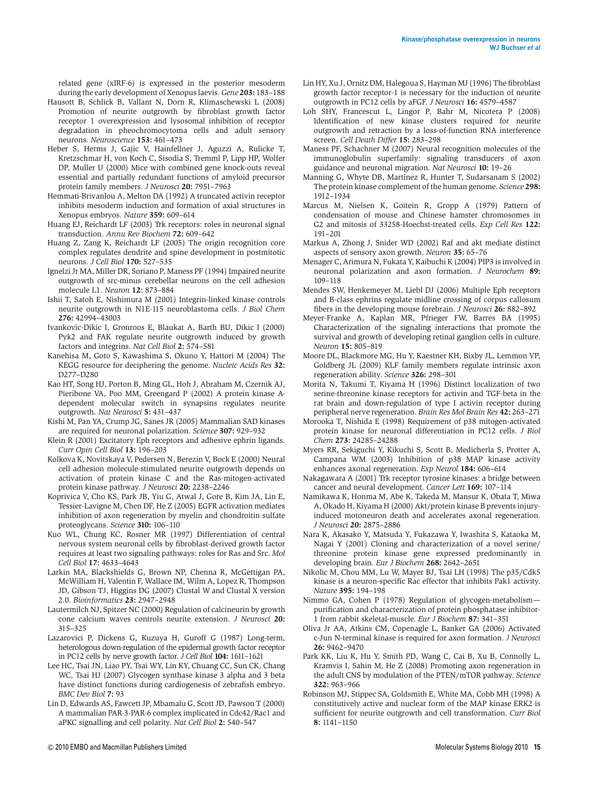<span id="page-14-0"></span>related gene (xIRF-6) is expressed in the posterior mesoderm during the early development of Xenopus laevis. Gene 203: 183–188

- Hausott B, Schlick B, Vallant N, Dorn R, Klimaschewski L (2008) Promotion of neurite outgrowth by fibroblast growth factor receptor 1 overexpression and lysosomal inhibition of receptor degradation in pheochromocytoma cells and adult sensory neurons. Neuroscience 153: 461–473
- Heber S, Herms J, Gajic V, Hainfellner J, Aguzzi A, Rulicke T, Kretzschmar H, von Koch C, Sisodia S, Tremml P, Lipp HP, Wolfer DP, Muller U (2000) Mice with combined gene knock-outs reveal essential and partially redundant functions of amyloid precursor protein family members. J Neurosci 20: 7951–7963
- Hemmati-Brivanlou A, Melton DA (1992) A truncated activin receptor inhibits mesoderm induction and formation of axial structures in Xenopus embryos. Nature 359: 609–614
- Huang EJ, Reichardt LF (2003) Trk receptors: roles in neuronal signal transduction. Annu Rev Biochem 72: 609–642
- Huang Z, Zang K, Reichardt LF (2005) The origin recognition core complex regulates dendrite and spine development in postmitotic neurons. J Cell Biol 170: 527–535
- Ignelzi Jr MA, Miller DR, Soriano P, Maness PF (1994) Impaired neurite outgrowth of src-minus cerebellar neurons on the cell adhesion molecule L1. Neuron 12: 873–884
- Ishii T, Satoh E, Nishimura M (2001) Integrin-linked kinase controls neurite outgrowth in N1E-115 neuroblastoma cells. J Biol Chem 276: 42994–43003
- Ivankovic-Dikic I, Gronroos E, Blaukat A, Barth BU, Dikic I (2000) Pyk2 and FAK regulate neurite outgrowth induced by growth factors and integrins. Nat Cell Biol 2: 574–581
- Kanehisa M, Goto S, Kawashima S, Okuno Y, Hattori M (2004) The KEGG resource for deciphering the genome. Nucleic Acids Res 32: D277–D280
- Kao HT, Song HJ, Porton B, Ming GL, Hoh J, Abraham M, Czernik AJ, Pieribone VA, Poo MM, Greengard P (2002) A protein kinase Adependent molecular switch in synapsins regulates neurite outgrowth. Nat Neurosci 5: 431–437
- Kishi M, Pan YA, Crump JG, Sanes JR (2005) Mammalian SAD kinases are required for neuronal polarization. Science 307: 929–932
- Klein R (2001) Excitatory Eph receptors and adhesive ephrin ligands. Curr Opin Cell Biol 13: 196–203
- Kolkova K, Novitskaya V, Pedersen N, Berezin V, Bock E (2000) Neural cell adhesion molecule-stimulated neurite outgrowth depends on activation of protein kinase C and the Ras-mitogen-activated protein kinase pathway. J Neurosci 20: 2238–2246
- Koprivica V, Cho KS, Park JB, Yiu G, Atwal J, Gore B, Kim JA, Lin E, Tessier-Lavigne M, Chen DF, He Z (2005) EGFR activation mediates inhibition of axon regeneration by myelin and chondroitin sulfate proteoglycans. Science 310: 106–110
- Kuo WL, Chung KC, Rosner MR (1997) Differentiation of central nervous system neuronal cells by fibroblast-derived growth factor requires at least two signaling pathways: roles for Ras and Src. Mol Cell Biol 17: 4633–4643
- Larkin MA, Blackshields G, Brown NP, Chenna R, McGettigan PA, McWilliam H, Valentin F, Wallace IM, Wilm A, Lopez R, Thompson JD, Gibson TJ, Higgins DG (2007) Clustal W and Clustal X version 2.0. Bioinformatics 23: 2947–2948
- Lautermilch NJ, Spitzer NC (2000) Regulation of calcineurin by growth cone calcium waves controls neurite extension. J Neurosci 20: 315–325
- Lazarovici P, Dickens G, Kuzuya H, Guroff G (1987) Long-term, heterologous down-regulation of the epidermal growth factor receptor in PC12 cells by nerve growth factor. J Cell Biol 104: 1611–1621
- Lee HC, Tsai JN, Liao PY, Tsai WY, Lin KY, Chuang CC, Sun CK, Chang WC, Tsai HJ (2007) Glycogen synthase kinase 3 alpha and 3 beta have distinct functions during cardiogenesis of zebrafish embryo. BMC Dev Biol 7: 93
- Lin D, Edwards AS, Fawcett JP, Mbamalu G, Scott JD, Pawson T (2000) A mammalian PAR-3-PAR-6 complex implicated in Cdc42/Rac1 and aPKC signalling and cell polarity. Nat Cell Biol 2: 540–547
- Lin HY, Xu J, Ornitz DM, Halegoua S, Hayman MJ (1996) The fibroblast growth factor receptor-1 is necessary for the induction of neurite outgrowth in PC12 cells by aFGF. J Neurosci 16: 4579–4587
- Loh SHY, Francescut L, Lingor P, Bahr M, Nicotera P (2008) Identification of new kinase clusters required for neurite outgrowth and retraction by a loss-of-function RNA interference screen. Cell Death Differ 15: 283–298
- Maness PF, Schachner M (2007) Neural recognition molecules of the immunoglobulin superfamily: signaling transducers of axon guidance and neuronal migration. Nat Neurosci 10: 19–26
- Manning G, Whyte DB, Martinez R, Hunter T, Sudarsanam S (2002) The protein kinase complement of the human genome. Science 298: 1912–1934
- Marcus M, Nielsen K, Goitein R, Gropp A (1979) Pattern of condensation of mouse and Chinese hamster chromosomes in G2 and mitosis of 33258-Hoechst-treated cells. Exp Cell Res 122: 191–201
- Markus A, Zhong J, Snider WD (2002) Raf and akt mediate distinct aspects of sensory axon growth. Neuron 35: 65–76
- Menager C, Arimura N, Fukata Y, Kaibuchi K (2004) PIP3 is involved in neuronal polarization and axon formation. J Neurochem 89: 109–118
- Mendes SW, Henkemeyer M, Liebl DJ (2006) Multiple Eph receptors and B-class ephrins regulate midline crossing of corpus callosum fibers in the developing mouse forebrain. J Neurosci 26: 882–892
- Meyer-Franke A, Kaplan MR, Pfrieger FW, Barres BA (1995) Characterization of the signaling interactions that promote the survival and growth of developing retinal ganglion cells in culture. Neuron 15: 805–819
- Moore DL, Blackmore MG, Hu Y, Kaestner KH, Bixby JL, Lemmon VP, Goldberg JL (2009) KLF family members regulate intrinsic axon regeneration ability. Science 326: 298–301
- Morita N, Takumi T, Kiyama H (1996) Distinct localization of two serine-threonine kinase receptors for activin and TGF-beta in the rat brain and down-regulation of type I activin receptor during peripheral nerve regeneration. Brain Res Mol Brain Res 42: 263–271
- Morooka T, Nishida E (1998) Requirement of p38 mitogen-activated protein kinase for neuronal differentiation in PC12 cells. J Biol Chem 273: 24285–24288
- Myers RR, Sekiguchi Y, Kikuchi S, Scott B, Medicherla S, Protter A, Campana WM (2003) Inhibition of p38 MAP kinase activity enhances axonal regeneration. Exp Neurol 184: 606–614
- Nakagawara A (2001) Trk receptor tyrosine kinases: a bridge between cancer and neural development. Cancer Lett 169: 107–114
- Namikawa K, Honma M, Abe K, Takeda M, Mansur K, Obata T, Miwa A, Okado H, Kiyama H (2000) Akt/protein kinase B prevents injuryinduced motoneuron death and accelerates axonal regeneration. J Neurosci 20: 2875–2886
- Nara K, Akasako Y, Matsuda Y, Fukazawa Y, Iwashita S, Kataoka M, Nagai Y (2001) Cloning and characterization of a novel serine/ threonine protein kinase gene expressed predominantly in developing brain. Eur J Biochem 268: 2642–2651
- Nikolic M, Chou MM, Lu W, Mayer BJ, Tsai LH (1998) The p35/Cdk5 kinase is a neuron-specific Rac effector that inhibits Pak1 activity. Nature 395: 194–198
- Nimmo GA, Cohen P (1978) Regulation of glycogen-metabolism purification and characterization of protein phosphatase inhibitor-1 from rabbit skeletal-muscle. Eur J Biochem 87: 341–351
- Oliva Jr AA, Atkins CM, Copenagle L, Banker GA (2006) Activated c-Jun N-terminal kinase is required for axon formation. J Neurosci 26: 9462–9470
- Park KK, Liu K, Hu Y, Smith PD, Wang C, Cai B, Xu B, Connolly L, Kramvis I, Sahin M, He Z (2008) Promoting axon regeneration in the adult CNS by modulation of the PTEN/mTOR pathway. Science 322: 963–966
- Robinson MJ, Stippec SA, Goldsmith E, White MA, Cobb MH (1998) A constitutively active and nuclear form of the MAP kinase ERK2 is sufficient for neurite outgrowth and cell transformation. Curr Biol 8: 1141–1150